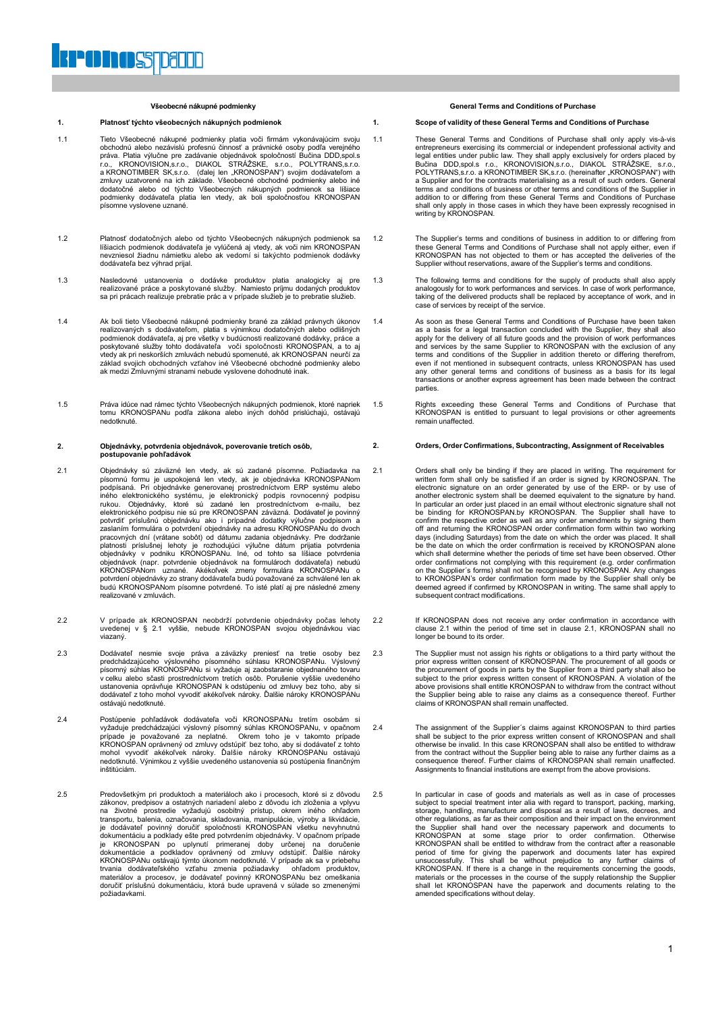#### **Všeobecné nákupné podmienky**

#### **1. Platnosť týchto všeobecných nákupných podmienok 1.**

- 1.1 Tieto Všeobecné nákupné podmienky platia voči firmám vykonávajúcim svoju obchodnú alebo nezávislú profesnú činnosť a právnické osoby podľa verejného<br>práva. Platia výlučne pre zadávanie objednávok spoločností Bučina DDD,spol.s<br>r.o., KRONOVISION,s.r.o., (DIAKOL STRÁŽSKE, s.r.o., POLYTRANS,s.r.o.<br> dodatočné alebo od týchto Všeobecných nákupných podmienok sa líšiace podmienky dodávateľa platia len vtedy, ak boli spoločnosťou KRONOSPAN písomne vyslovene uznané.
- Platnosť dodatočných alebo od týchto Všeobecných nákupných podmienok sa<br>Iíšiacich podmienok dodávateľa je vylúčená aj vtedy, ak voči nim KRONOSPAN<br>nevzniesol žiadnu námietku alebo ak vedomí si takýchto podmienok dodávky dodávateľa bez výhrad prijal.
- 1.3 Nasledovné ustanovenia o dodávke produktov platia analogicky aj pre realizované práce a poskytované služby. Namiesto príjmu dodaných produktov sa pri prácach realizuje prebratie prác a v prípade služieb je to prebratie služieb.
- 1.4 Ak boli tieto Všeobecné nákupné podmienky brané za základ právnych úkonov realizovaných s dodávateľom, platia s výnimkou dodatočných alebo odlišných podmienok dodávateľa, aj pre všetky v budúcnosti realizované dodávky, práce a poskytované služby tohto dodávateľa voči spoločnosti KRONOSPAN, a to aj vtedy ak pri neskorších zmluvách nebudú spomenuté, ak KRONOSPAN neurčí za základ svojich obchodných vzťahov iné Všeobecné obchodné podmienky alebo ak medzi Zmluvnými stranami nebude vyslovene dohodnuté inak.
- 1.5 Práva idúce nad rámec týchto Všeobecných nákupných podmienok, ktoré napriek tomu KRONOSPANu podľa zákona alebo iných dohôd prislúchajú, ostávajú nedotknuté.

#### **2. Objednávky, potvrdenia objednávok, poverovanie tretích osôb, postupovanie pohľadávok**

- 2.1 Objednávky sú záväzné len vtedy, ak sú zadané písomne. Požiadavka na<br>písomnú formu je uspokojená len vtedy, ak je objednávka KRONOSPANom<br>podpísaná. Pri objednávke generovanej prostredníctvom ERP systému alebo<br>iného ele elektronického podpisu nie sú pre KRONOSPAN záväzná. Dodávateľ je povinný potvrdiť príslušnú objednávku ako i prípadné dodatky výlučne podpisom a<br>zaslaním formulára o potvrdení objednávky na adresu KRONOSPANu do dvoch<br>pracovných dní (vrátane sobôt) od dátumu zadania objednávky. Pre dodržanie platnosti príslušnej lehoty je rozhodujúci výlučne dátum prijatia potvrdenia<br>objednávky v podniku KRONOSPANu. Iné, od tohto sa líšiace potvrdenia<br>objednávok (napr. potvrdenie objednávok na formulároch dodávateľa) nebudú<br>KR potvrdení objednávky zo strany dodávateľa budú považované za schválené len ak budú KRONOSPANom písomne potvrdené. To isté platí aj pre následné zmeny realizované v zmluvách.
- 2.2 V prípade ak KRONOSPAN neobdrží potvrdenie objednávky počas lehoty uvedenej v § 2.1 vyššie, nebude KRONOSPAN svojou objednávkou viac viazaný.
- 2.3 Dodávateľ nesmie svoje práva a záväzky preniesť na tretie osoby bez<br>predchádzajúceho výslovného písomného súhlasu KRONOSPANu. Výslovný<br>písomný súhlas KRONOSPANu si vyžaduje aj zaobstaranie objednaného tovaru<br>v celku al ustanovenia oprávňuje KRONOSPAN k odstúpeniu od zmluvy bez toho, aby si dodávateľ z toho mohol vyvodiť akékoľvek nároky. Ďalšie nároky KRONOSPANu ostávajú nedotknuté.
- 2.4 Postúpenie pohľadávok dodávateľa voči KRONOSPANu tretím osobám si vyžaduje predchádzajúci výslovný písomný súhlas KRONOSPANu, v opačnom<br>prípade je považované za neplatné. Okrem toho je v takomto prípade<br>KRONOSPAN oprávnený od zmluvy odstúpiť bez toho, aby si dodávateľ z tohto<br>mohol vyvod nedotknuté. Výnimkou z vyššie uvedeného ustanovenia sú postúpenia finančným inštitúciám.
- 2.5 Predovšetkým pri produktoch a materiáloch ako i procesoch, ktoré si z dôvodu zákonov, predpisov a ostatných nariadení alebo z dôvodu ich zloženia a vplyvu na životné prostredie vyžadujú osobitný prístup, okrem iného ohľadom<br>transportu, balenia, označovania, skladovania, manipulácie, výroby a likvidácie,<br>je dodávateľ povinný doručiť spoločnosti KRONOSPAN všetku nevyhnutnú<br>dok doručiť príslušnú dokumentáciu, ktorá bude upravená v súlade so zmenenými požiadavkami.

**General Terms and Conditions of Purchase**

#### **Scope of validity of these General Terms and Conditions of Purchase**

- 1.1 These General Terms and Conditions of Purchase shall only apply vis-à-vis entrepreneurs exercising its commercial or independent professional activity and<br>legal entities under public law. They shall apply exclusively for orders placed by<br>Bučina DDD,spol.s r.o., KRONOVISION,s.r.o., DIAKOL STRÅŽSK a Supplier and for the contracts materialising as a result of such orders. General terms and conditions of business or other terms and conditions of the Supplier in addition to or differing from these General Terms and Conditions of Purchase shall only apply in those cases in which they have been expressly recognised in writing by KRONOSPAN.
- 1.2 The Supplier's terms and conditions of business in addition to or differing from these General Terms and Conditions of Purchase shall not apply either, even if KRONOSPAN has not objected to them or has accepted the deliveries of the Supplier without reservations, aware of the Supplier's terms and conditions.
- 1.3 The following terms and conditions for the supply of products shall also apply<br>analogously for to work performances and services. In case of work performance,<br>taking of the delivered products shall be replaced by accep case of services by receipt of the service.
- 1.4 As soon as these General Terms and Conditions of Purchase have been taken as a basis for a legal transaction concluded with the Supplier, they shall also<br>apply for the delivery of all future goods and the provision of work performances<br>and services by the same Supplier to KRONOSPAN with the excl even if not mentioned in subsequent contracts, unless KRONOSPAN has used any other general terms and conditions of business as a basis for its legal transactions or another express agreement has been made between the contract parties.
- 1.5 Rights exceeding these General Terms and Conditions of Purchase that KRONOSPAN is entitled to pursuant to legal provisions or other agreements remain unaffected.

## **2. Orders, Order Confirmations, Subcontracting, Assignment of Receivables**

- 2.1 Orders shall only be binding if they are placed in writing. The requirement for written form shall only be satisfied if an order is signed by KRONOSPAN. The electronic signature on an order generated by use of the ERP-In particular an order just placed in an email without electronic signature shall not be binding for KRONOSPAN.by KRONOSPAN. The Supplier shall have to confirm the respective order as well as any order amendments by signing them<br>off and retuming the KRONOSPAN order confirmation form within two working<br>days (including Saturdays) from the date on which the order was placed. be the date on which the order confirmation is received by KRONOSPAN alone which shall determine whether the periods of time set have been observed. Other order confirmations not complying with this requirement (e.g. order confirmation on the Supplier´s forms) shall not be recognised by KRONOSPAN. Any changes to KRONOSPAN's order confirmation form made by the Supplier shall only be deemed agreed if confirmed by KRONOSPAN in writing. The same shall apply to subsequent contract modifications.
- 2.2 If KRONOSPAN does not receive any order confirmation in accordance with clause 2.1 within the period of time set in clause 2.1, KRONOSPAN shall no longer be bound to its order.
- 2.3 The Supplier must not assign his rights or obligations to a third party without the prior express written consent of KRONOSPAN. The procurement of all goods or the procurement of goods in parts by the Supplier from a third party shall also be subject to the prior express written consent of KRONOSPAN. A violation of the above provisions shall entitle KRONOSPAN to withdraw from the contract without the Supplier being able to raise any claims as a consequence thereof. Further claims of KRONOSPAN shall remain unaffected.
- 2.4 The assignment of the Supplier's claims against KRONOSPAN to third parties shall be subject to the prior express written consent of KRONOSPAN and shall otherwise be invalid. In this case KRONOSPAN and shall also be ent Assignments to financial institutions are exempt from the above provisions.
- 2.5 In particular in case of goods and materials as well as in case of processes subject to special treatment inter alia with regard to transport, packing, marking, storage, handling, manufacture and disposal as a result of laws, decrees, and<br>other regulations, as far as their composition and their impact on the environment<br>the Supplier shall hand over the necessary paperwork and docu period of time for giving the paperwork and documents later has expired<br>unsuccessfully. This shall be without prejudice to any further claims of<br>KRONOSPAN. If there is a change in the requirements concerning the goods,<br>mat amended specifications without delay.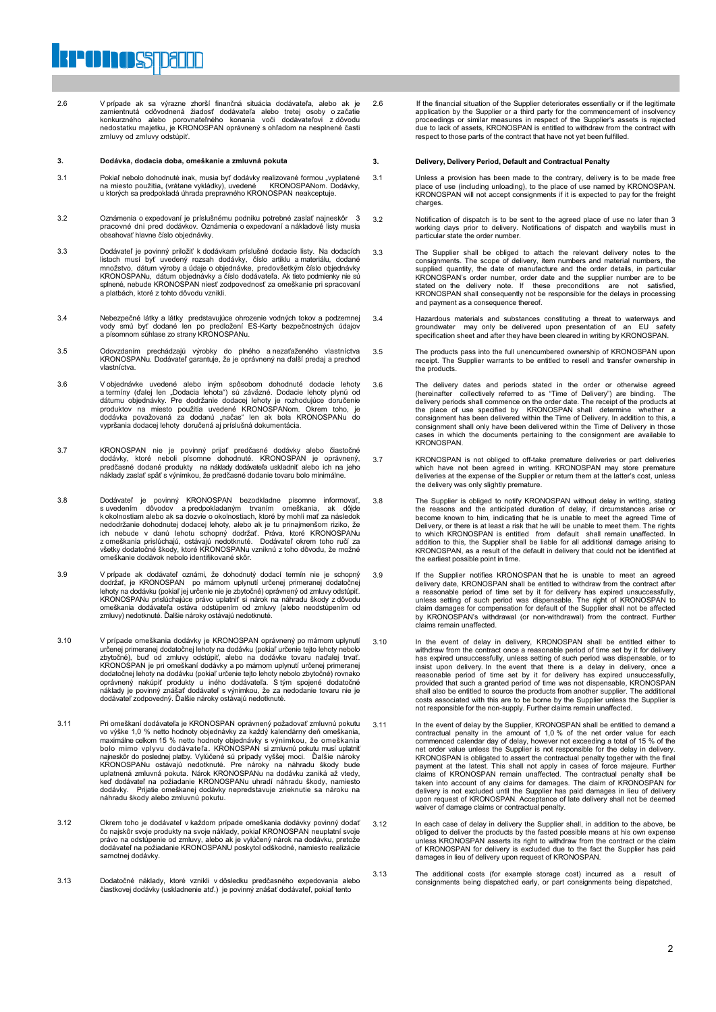2.6 V prípade ak sa výrazne zhorší finančná situácia dodávateľa, alebo ak je zamientnutá odôvodnená žiadosť dodávateľa alebo tretej osoby o začatie konkurzného alebo porovnateľného konania voči dodávateľovi z dôvodu nedostatku majetku, je KRONOSPAN oprávnený s ohľadom na nesplnené časti zmluvy od zmluvy odstúpiť.

#### **3. Dodávka, dodacia doba, omeškanie a zmluvná pokuta**

**POINOSTDELLE** 

- 3.1 Pokiaľ nebolo dohodnuté inak, musia byť dodávky realizované formou "vyplatené na miesto použitia" (vrátane vykládky), uvedené KRONOSPANom. Dodávky, u ktorých sa predpokladá úhrada prepravného KRONOSPAN neakceptuje.
- 3.2 Oznámenia o expedovaní je príslušnému podniku potrebné zaslať najneskôr 3 pracovné dni pred dodávkov. Oznámenia o expedovaní a nákladové listy musia obsahovať hlavne číslo objednávky.
- 3.3 Dodávateľ je povinný priložiť k dodávkam príslušné dodacie listy. Na dodacích<br>listoch musí byť uvedený rozsah dodávky, číslo artiklu a materiálu, dodané<br>množstvo, dátum výroby a údaje o objednávke, predovšetkým číslo o KRONOSPANu, dátum objednávky a číslo dodávateľa. Ak tieto podmienky nie sú splnené, nebude KRONOSPAN niesť zodpovednosť za omeškanie pri spracovaní a platbách, ktoré z tohto dôvodu vznikli.
- 3.4 Nebezpečné látky a látky predstavujúce ohrozenie vodných tokov a podzemnej vody smú byť dodané len po predložení ES-Karty bezpečnostných údajov a písomnom súhlase zo strany KRONOSPANu.
- 3.5 Odovzdaním prechádzajú výrobky do plného a nezaťaženého vlastníctva KRONOSPANu. Dodávateľ garantuje, že je oprávnený na ďalší predaj a prechod vlastníctva.
- 3.6 V objednávke uvedené alebo iným spôsobom dohodnuté dodacie lehoty a termíny (ďalej len "Dodacia lehota") sú záväzné. Dodacie lehoty plynú od dátumu objednávky. Pre dodržanie dodacej lehoty je rozhodujúce doručenie<br>produktov na miesto použitia uvedené KRONOSPANom. Okrem toho, je<br>dodávka považovaná za dodanú "načas" len ak bola KRONOSPANu do<br>vypršania.dodacej.leh
- 3.7 KRONOSPAN nie je povinný prijať predčasné dodávky alebo čiastočné<br>dodávky, ktoré neboli písomne dohodnuté. KRONOSPAN je oprávnený,<br>predčasné dodané produkty na náklady dodávateľa uskladniť alebo ich na jeho<br>náklady zas
- 3.8 Dodávateľ je povinný KRONOSPAN bezodkladne písomne informovať, s uvedením dôvodov a predpokladaným trvaním omeškania, ak dôjde k okolnostiam alebo ak sa dozvie o okolnostiach, ktoré by mohli mať za následok nedodržanie dohodnutej dodacej lehoty, alebo ak je tu prinajmenšom riziko, že ich nebude v danú lehotu schopný dodržať. Práva, ktoré KRONOSPANu z omeškania prislúchajú, ostávajú nedotknuté. Dodávateľ okrem toho ručí za všetky dodatočné škody, ktoré KRONOSPANu vzniknú z toho dôvodu, že možné omeškanie dodávok nebolo identifikované skôr.
- 3.9 V prípade ak dodávateľ oznámi, že dohodnutý dodací termín nie je schopný dodržať, je KRONOSPAN po márnom uplynutí určenej primeranej dodatočnej lehoty na dodávku (pokiať jej určenie nie je zbytočné) právnený od zmluvy zmluvy) nedotknuté. Ďalšie nároky ostávajú nedotknuté.
- 3.10 V prípade omeškania dodávky je KRONOSPAN oprávnený po márnom uplynutí určenej primeranej dodatočnej lehoty na dodávku (pokiaľ určenie tejto lehoty nebolo zbytočné), buď od zmluvy odstúpiť, alebo na dodávky apo márnom uplynutí určenej primeranej korať.<br>KRONOSPAN je pri omeškaní dodávky a po m
- 3.11 Pri omeškaní dodávateľa je KRONOSPAN oprávnený požadovať zmluvnú pokutu<br>vo výške 1,0 % netto hodnoty objednávky za každý kalendárny deň omeškania<br>maximálne celkom 15 % netto hodnoty objednávky s výnimkou, že omeškania bolo mimo vplyvu dodávateľa. KRONOSPAN si zmluvnú pokutu musí uplatniť najneskôr do poslednej platby. Vylúčené sú prípady vyššej moci. Ďalšie nároky<br>KRONOSPANu ostávajú nedotknuté. Pre nároky na náhradu škody bude<br>uplatnená zmluvná pokuta. Nárok KRONOSPANu na dodávku zaniká až vtedy, keď dodávateľ na požiadanie KRONOSPANu uhradí náhradu škody, namiesto dodávky. Prijatie omeškanej dodávky nepredstavuje zrieknutie sa nároku na náhradu škody alebo zmluvnú pokutu.
- 3.12 Okrem toho je dodávateľ v každom prípade omeškania dodávky povinný dodať<br>čo najskôr svoje produkty na svoje náklady, pokiaľ KRONOSPAN neuplatní svoje<br>právo na odstúpenie od zmluvy, alebo ak je vylúčený nárok na dodávk samotnej dodávky.
- 3.13 Dodatočné náklady, ktoré vznikli v dôsledku predčasného expedovania alebo čiastkovej dodávky (uskladnenie atď.) je povinný znášať dodávateľ, pokiaľ tento

2.6 If the financial situation of the Supplier deteriorates essentially or if the legitimate application by the Supplier or a third party for the commencement of insolvency proceedings or similar measures in respect of the Supplier's assets is rejected due to lack of assets, KRONOSPAN is entitled to withdraw from the contract with respect to those parts of the contract that have not yet been fulfilled.

#### **3. Delivery, Delivery Period, Default and Contractual Penalty**

- 3.1 Unless a provision has been made to the contrary, delivery is to be made free<br>place of use (including unloading), to the place of use named by KRONOSPAN.<br>KRONOSPAN will not accept consignments if it is expected to pay charges.
- 3.2 Notification of dispatch is to be sent to the agreed place of use no later than 3 working days prior to delivery. Notifications of dispatch and waybills must in particular state the order number.
- 3.3 The Supplier shall be obliged to attach the relevant delivery notes to the consignments. The scope of delivery, item numbers and material numbers, the supplied quantity, the date of manufacture and the order details, in particular KRONOSPAN's order number, order date and the supplier number are to be stated on the delivery note. If these preconditions are not satisfied, KRONOSPAN shall consequently not be responsible for the delays in processing and payment as a consequence thereof.
- 3.4 Hazardous materials and substances constituting a threat to waterways and<br>groundwater may only be delivered upon presentation of an EU safety<br>specification sheet and after they have been cleared in writing by KRONOSPAN
- 3.5 The products pass into the full unencumbered ownership of KRONOSPAN upon receipt. The Supplier warrants to be entitled to resell and transfer ownership in the products.
- 3.6 The delivery dates and periods stated in the order or otherwise agreed (hereinafter collectively referred to as "Time of Delivery") are binding. The delivery periods shall commence on the order date. The receipt of the products at the place of use specified by KRONOSPAN shall determine whether a consignment has been delivered within the Time of Delivery. In addition to this, a consignment shall only have been delivered within the Time of Delivery in those in which the documents pertaining to the consignment are available to KRONOSPAN.
- 3.7 KRONOSPAN is not obliged to off-take premature deliveries or part deliveries which have not been agreed in writing. KRONOSPAN may store premature deliveries at the expense of the Supplier or return them at the latter's cost, unless the delivery was only slightly premature.
- 3.8 The Supplier is obliged to notify KRONOSPAN without delay in writing, stating the reasons and the anticipated duration of delay, if circumstances arise or become known to him, indicating that he is unable to meet the a to which KRONOSPAN is entitled from default shall remain unaffected. In addition to this, the Supplier shall be liable for all additional damage arising to KRONOSPAN, as a result of the default in delivery that could not be identified at the earliest possible point in time.
- 3.9 If the Supplier notifies KRONOSPAN that he is unable to meet an agreed delivery date, KRONOSPAN shall be entitled to withdraw from the contract after a reasonable period of time set by it for delivery has expired unsuccessfully, unless setting of such period was dispensable. The right of KRONOSPAN to claim damages for compensation for default of the Supplier shall not b claims remain unaffected.
- 3.10 In the event of delay in delivery, KRONOSPAN shall be entitled either to withdraw from the contract once a reasonable period of time set by it for delivery has expired unsuccessfully, unless setting of such period was dispensable, or to insist upon delivery. In the event that there is a delay in delivery, once a reasonable period of time set by it for delivery has expired unsuccessfully, provided that such a granted period of time was not dispensable, KRONOSPAN shall also be entitled to source the products from another supplier. The additional costs associated with this are to be borne by the Supplier unless the Supplier is not responsible for the non-supply. Further claims remain unaffected.
- 3.11 In the event of delay by the Supplier, KRONOSPAN shall be entitled to demand a contractual penalty in the amount of 1,0 % of the net order value for each commenced calendar day of delay, however not exceeding a total of 15 % of the net order value unless the Supplier is not responsible for the delay in delivery. KRONOSPAN is obligated to assert the contractual penalty together with the final<br>payment at the latest. This shall not apply in cases of force majeure. Further<br>claims of KRONOSPAN remain unaffected. The contractual penalty taken into account of any claims for damages. The claim of KRONOSPAN for delivery is not excluded until the Supplier has paid damages in lieu of delivery upon request of KRONOSPAN. Acceptance of late delivery shall not be deemed waiver of damage claims or contractual penalty.
- 3.12 In each case of delay in delivery the Supplier shall, in addition to the above, be obliged to deliver the products by the fasted possible means at his own expense unless KRONOSPAN asserts its right to withdraw from the contract or the claim of KRONOSPAN for delivery is excluded due to the fact the Supplier has paid damages in lieu of delivery upon request of KRONOSPAN.
- 3.13 The additional costs (for example storage cost) incurred as a result of consignments being dispatched early, or part consignments being dispatched,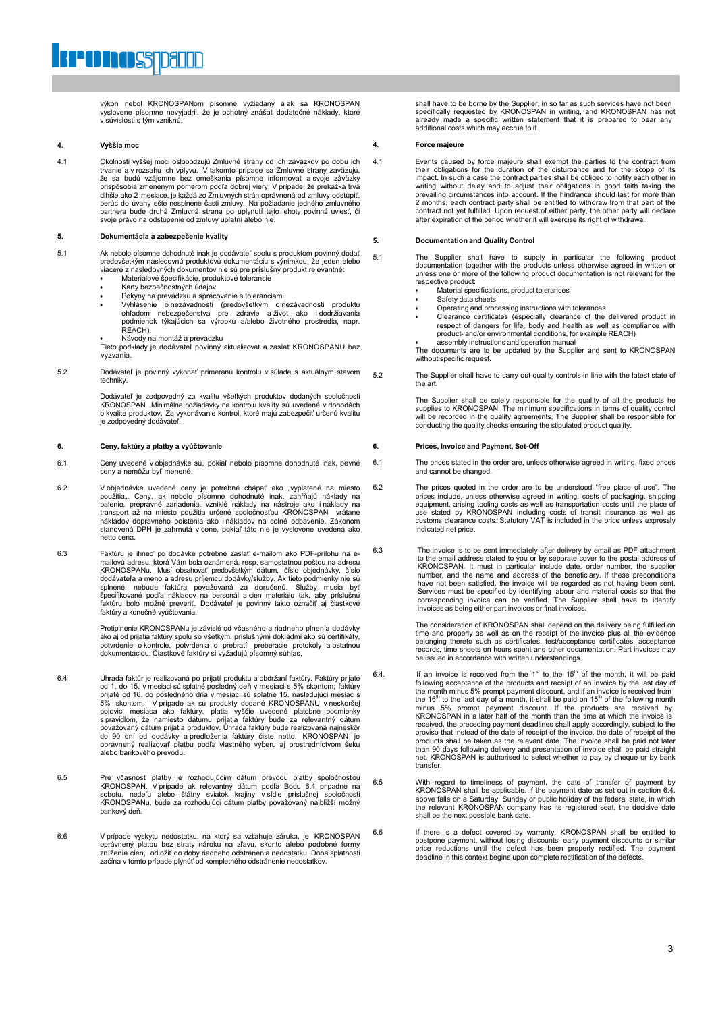výkon nebol KRONOSPANom písomne vyžiadaný a ak sa KRONOSPAN vyslovene písomne nevyjadril, že je ochotný znášať dodatočné náklady, ktoré v súvislosti s tým vzniknú.

#### **4. Vyššia moc**

4.1 Okolnosti vyššej moci oslobodzujú Zmluvné strany od ich záväzkov po dobu ich trvanie a v rozsahu ich vplyvu. V takomto prípade sa Zmluvné strany zaväzujú, že sa budú vzájomne bez omeškania písomne informovať a svoje záväzky prispôsobia zmeneným pomerom podľa dobrej viery. V prípade, že prekážka trvá<br>dlhšie ako 2 mesiace, je každá zo Zmluvných strán oprávnená od zmluvy odstúpiť,<br>berúc do úvahy ešte nesplnené časti zmluvy. Na požiadanie jedného

#### **5. Dokumentácia a zabezpečenie kvality**

- 5.1 Ak nebolo písomne dohodnuté inak je dodávateľ spolu s produktom povinný dodať predovšetkým nasledovnú produktovú dokumentáciu s výnimkou, že jeden alebo viaceré z nasledovných dokumentov nie sú pre príslušný produkt relevantné:
	- Materiálové špecifikácie, produktové tolerancie
	- Karty bezpečnostných údajov
	- Pokyny na prevádzku a spracovanie s toleranciami
	- Vyhlásenie o nezávadnosti (predovšetkým o nezávadnosti produktu ohľadom nebezpečenstva pre zdravie a život ako i dodržiavania podmienok týkajúcich sa výrobku a/alebo životného prostredia, napr. REACH).

Návody na montáž a prevádzku

Tieto podklady je dodávateľ povinný aktualizovať a zaslať KRONOSPANU bez vyzvania.

5.2 Dodávateľ je povinný vykonať primeranú kontrolu v súlade s aktuálnym stavom techniky.

> Dodávateľ je zodpovedný za kvalitu všetkých produktov dodaných spoločnosti<br>KRONOSPAN. Minimálne požiadavky na kontrolu kvality sú uvedené v dohodách<br>o kvalite produktov. Za vykonávanie kontrol, ktoré majú zabezpečiť určenú je zodpovedný dodávateľ.

#### **6. Ceny, faktúry a platby a vyúčtovanie**

- 6.1 Ceny uvedené v objednávke sú, pokiaľ nebolo písomne dohodnuté inak, pevné ceny a nemôžu byť menené.
- 6.2 V objednávke uvedené ceny je potrebné chápať ako "vyplatené na miesto<br>použitia". Ceny, ak nebolo písomne dohodnuté inak, zahŕňajú náklady na balenie, prepravné zariadenia, vzniklé náklady na nástroje ako i náklady na<br>transport až na miesto použitia určené spoločnosťou KRONOSPAN<br>nákladov dopravného poistenia ako i nákladov na colné odbavenie. Zákonom stanovená DPH je zahrnutá v cene, pokiaľ táto nie je vyslovene uvedená ako netto cena.
- 6.3 Faktúru je ihneď po dodávke potrebné zaslať e-mailom ako PDF-prílohu na emailovú adresu, ktorá Vám bola oznámená, resp. samostatnou poštou na adresu KRONOSPANu. Musí obsahovať predovšetkým dátum, číslo objednávky, číslo dodávateľa a meno a adresu príjemcu dodávky/služby. Ak tieto podmienky nie sú splnené, nebude faktúra považovaná za doručenú. Služby musia byť špecifikované podľa nákladov na personál a cien materiálu tak, aby príslušnú faktúru bolo možné preveriť. Dodávateľ je povinný takto označiť aj čiastkové faktúry a konečné vyúčtovania.

Protiplnenie KRONOSPANu je závislé od včasného a riadneho plnenia dodávky ako aj od prijatia faktúry spolu so všetkými príslušnými dokladmi ako sú certifikáty, potvrdenie o kontrole, potvrdenia o prebratí, preberacie protokoly a ostatnou dokumentáciou. Čiastkové faktúry si vyžadujú písomný súhlas.

- 6.4 Úhrada faktúr je realizovaná po prijatí produktu a obdržaní faktúry. Faktúry prijaté od 1. do 15. v mesiaci sú splatné posledný deň v mesiaci s 5% skontom; faktúry<br>prijaté od 16. do posledného dňa v mesiaci sú splatné 15. nasledujúci mesiac s<br>5% skontom. V prípade ak sú produkty dodané KRONOSPANU v neskorš s pravidlom, že namiesto dátumu prijatia faktúry bude za relevantný dátum<br>považovaný dátum prijatia produktov. Úhrada faktúry bude realizovaná najneskôr<br>do 90 dní od dodávky a predloženia faktúry čiste netto. KRONOSPAN je<br>
- 6.5 Pre včasnosť platby je rozhodujúcim dátum prevodu platby spoločnosťou KRONOSPAN. V prípade ak relevantný dátum podľa Bodu 6.4 pripadne na sobotu, nedeľu alebo štátny sviatok krajiny v sídle príslušnej spoločnosti KRONOSPANu, bude za rozhodujúci dátum platby považovaný najbližší možný bankový deň.
- 6.6 V prípade výskytu nedostatku, na ktorý sa vzťahuje záruka, je KRONOSPAN oprávnený platbu bez straty nároku na zľavu, skonto alebo podobné formy zníženia cien, odložiť do doby riadneho odstránenia nedostatku. Doba splatnosti začína v tomto prípade plynúť od kompletného odstránenie nedostatkov.

shall have to be borne by the Supplier, in so far as such services have not been<br>specifically requested by KRONOSPAN in writing, and KRONOSPAN has not<br>already made a specific written statement that it is prepared to bear a additional costs which may accrue to it.

#### **4. Force majeure**

4.1 Events caused by force majeure shall exempt the parties to the contract from their obligations for the duration of the disturbance and for the scope of its impact. In such a case the contract parties shall be obliged to notify each other in writing without delay and to adjust their obligations in good faith taking the prevailing circumstances into account. If the hindrance should last for more than 2 months, each contract party shall be entitled to withdraw from that part of the contract not yet fulfilled. Upon request of either party, the other party will declare after expiration of the period whether it will exercise its right of withdrawal.

#### **5. Documentation and Quality Control**

5.1 The Supplier shall have to supply in particular the following product documentation together with the products unless otherwise agreed in written or unless one or more of the following product documentation is not relevant for the respective product:

- Material specifications, product tolerances
- Safety data sheets
- Operating and processing instructions with tolerances
- Clearance certificates (especially clearance of the delivered product in respect of dangers for life, body and health as well as compliance with product- and/or environmental conditions, for example REACH)

 assembly instructions and operation manual The documents are to be updated by the Supplier and sent to KRONOSPAN without specific request.

5.2 The Supplier shall have to carry out quality controls in line with the latest state of the art.

> The Supplier shall be solely responsible for the quality of all the products he supplies to KRONOSPAN. The minimum specifications in terms of quality control will be recorded in the quality agreements. The Supplier shall be responsible for conducting the quality checks ensuring the stipulated product quality.

#### **6. Prices, Invoice and Payment, Set-Off**

- 6.1 The prices stated in the order are, unless otherwise agreed in writing, fixed prices and cannot be changed.
- 6.2 The prices quoted in the order are to be understood "free place of use". The prices include, unless otherwise agreed in writing, costs of packaging, shipping equipment, arising tooling costs as well as transportation costs until the place of<br>use stated by KRONOSPAN including costs of transit insurance as well as<br>customs clearance costs. Statutory VAT is included in the price un indicated net price.
- 6.3 The invoice is to be sent immediately after delivery by email as PDF attachment to the email address stated to you or by separate cover to the postal address of KRONOSPAN. It must in particular include date, order number, the supplier number, and the name and address of the beneficiary. If these preco invoices as being either part invoices or final invoices.

The consideration of KRONOSPAN shall depend on the delivery being fulfilled on time and properly as well as on the receipt of the invoice plus all the evidence belonging thereto such as certificates, test/acceptance certificates, acceptance records, time sheets on hours spent and other documentation. Part invoices may be issued in accordance with written understandings.

- 6.4. If an invoice is received from the  $1<sup>st</sup>$  to the 15<sup>th</sup> of the month, it will be paid following acceptance of the products and receipt of an invoice by the last day of<br>the month minus 5% prompt payment discount, and if an invoice is received from<br>the 16<sup>th</sup> to the last day of a month, it shall be paid on 1 received, the preceding payment deadlines shall apply accordingly, subject to the proviso that instead of the date of receipt of the invoice, the date of receipt of the products shall be taken as the relevant date. The invoice shall be paid not later than 90 days following delivery and presentation of invoice shall be paid straight net. KRONOSPAN is authorised to select whether to pay by cheque or by bank transfer.
- 6.5 With regard to timeliness of payment, the date of transfer of payment by KRONOSPAN shall be applicable. If the payment date as set out in section 6.4.<br>above falls on a Saturday, Sunday or public holiday of the federal shall be the next possible bank date.
- 6.6 If there is a defect covered by warranty, KRONOSPAN shall be entitled to postpone payment, without losing discounts, early payment discounts or similar price reductions until the defect has been properly rectified. The payment deadline in this context begins upon complete rectification of the defects.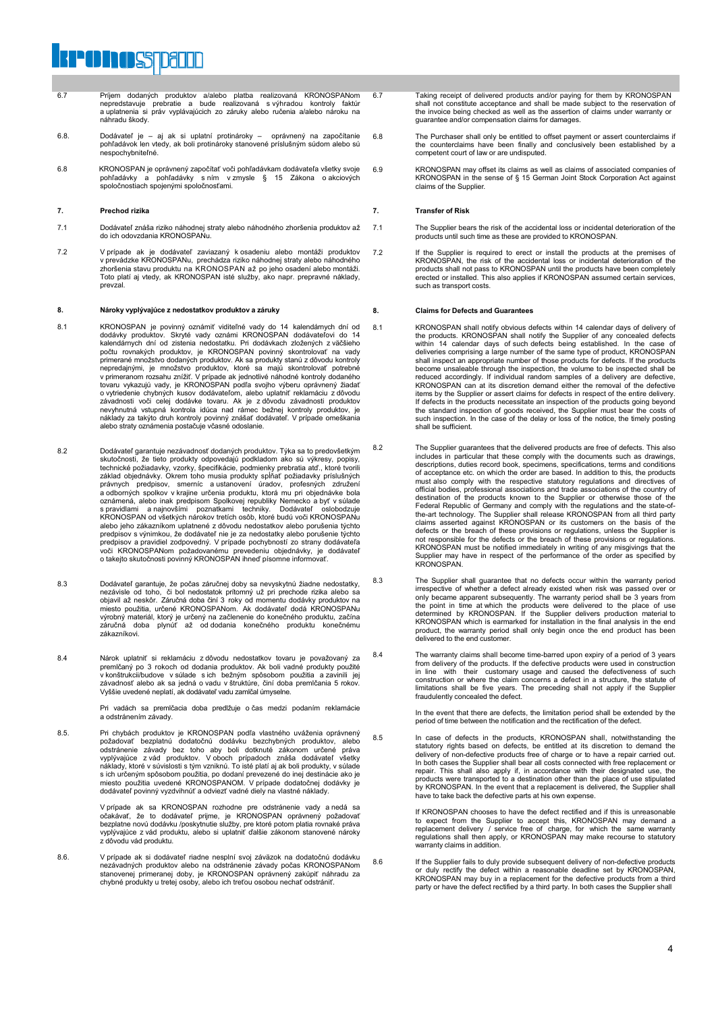# **POINOSTDELLE**

- 6.7 Príjem dodaných produktov a/alebo platba realizovaná KRONOSPANom nepredstavuje prebratie a bude realizovaná s výhradou kontroly faktúr a uplatnenia si práv vyplávajúcich zo záruky alebo ručenia a/alebo nároku na náhradu škody.
- 6.8. Dodávateľ je aj ak si uplatní protinároky oprávnený na započítanie pohľadávok len vtedy, ak boli protinároky stanovené príslušným súdom alebo sú nespochybniteľné.
- 6.8 KRONOSPAN je oprávnený započítať voči pohľadávkam dodávateľa všetky svoje pohľadávky a pohľadávky s ním v zmysle § 15 Zákona o akciových spoločnostiach spojenými spoločnosťami.

#### **7. Prechod rizika**

- 7.1 Dodávateľ znáša riziko náhodnej straty alebo náhodného zhoršenia produktov až do ich odovzdania KRONOSPANu.
- V prípade ak je dodávateľ zaviazaný k osadeniu alebo montáži produktov<br>v prevádzke KRONOSPANu, prechádza riziko náhodnej straty alebo náhodného<br>zhoršenia stavu produktu na KRONOSPAN až po jeho osadení alebo montáži.<br>Toto p prevzal.

#### **8. Nároky vyplývajúce z nedostatkov produktov a záruky**

- 8.1 KRONOSPAN je povinný oznámiť viditeľné vady do 14 kalendárnych dní od<br>dodávky produktov. Skryté vady oznámi KRONOSPAN dodávateľovi do 14<br>kalendárnych dní od zistenia nedostatku. Pri dodávkach zložených z väčšieho<br>počtu primerané množstvo dodaných produktov. Ak sa produkty stanú z dôvodu kontroly<br>nepredajnými, je množstvo produktov, ktoré sa majú skontrolovať potrebné<br>v primeranom rozsahu znížiť. V prípade ak jednotlivé náhodné kontroly d o vytriedenie chybných kusov dodávateľom, alebo uplatniť reklamáciu z dôvodu závadnosti voči celej dodávke tovaru. Ak je z dôvodu závadnosti produktov nevyhnutná vstupná kontrola idúca nad rámec bežnej kontroly produktov, je náklady za takýto druh kontroly povinný znášať dodávateľ. V prípade omeškania alebo straty oznámenia postačuje včasné odoslanie.
- 8.2 Dodávateľ garantuje nezávadnosť dodaných produktov. Týka sa to predovšetkým skutočnosti, že tieto produkty odpovedajú podkladom ako sú výkresy, popisy, technické požiadavky, vzorky, špecifikácie, podmienky prebratia atď., ktoré tvorili<br>základ objednávky. Okrem toho musia produkty spĺňať požiadavky príslušných<br>právnych predpisov, smerníc a ustanovení úradov, profesných zdr oznámená, alebo inak predpisom Spolkovej republiky Nemecko a byť v súlade s pravidlami a najnovšími poznatkami techniky. Dodávateľ oslobodzuje KRONOSPAN od všetkých nárokov tretích osôb, ktoré budú voči KRONOSPANu alebo jeho zákazníkom uplatnené z dôvodu nedostatkov alebo porušenia týchto predpisov s výnimkou, že dodávateľ nie je za nedostatky alebo porušenie týchto predpisov a pravidiel zodpovedný. V prípade pochybností zo strany dodávateľa<br>voči KRONOSPANom požadovanému prevedeniu objednávky, je dodávateľ<br>o takejto skutočnosti povinný KRONOSPAN ihneď písomne informovať.
- 8.3 Dodávateľ garantuje, že počas záručnej doby sa nevyskytnú žiadne nedostatky, nezávisle od toho, či bol nedostatok prítomný už pri prechode rizika alebo sa objavil až neskôr. Záručná doba činí 3 roky od momentu dodávky produktov na miesto použitia, určené KRONOSPANom. Ak dodávateľ dodá KRONOSPANu výrobný materiál, ktorý je určený na začlenenie do konečného produktu, začína záručná doba plynúť až od dodania konečného produktu konečnému zákazníkovi.
- 8.4 Nárok uplatniť si reklamáciu z dôvodu nedostatkov tovaru je považovaný za premlčaný po 3 rokoch od dodania produktov. Ak boli vadné produkty použité<br>v konštrukcii/budove v súlade s ich bežným spôsobom použitia a zavinili jej<br>závadnosť alebo ak sa jedná o vadu v štruktúre, činí doba premlčania 5

Pri vadách sa premlčacia doba predlžuje o čas medzi podaním reklamácie a odstránením závady.

8.5. Pri chybách produktov je KRONOSPAN podľa vlastného uváženia oprávnený<br>požadovať bezplatnú dodatočnú dodávku bezchybných produktov, alebo<br>odstránenie závady bez toho aby boli dotknuté zákonom určené práva<br>vyplývajúce z s ich určeným spôsobom použitia, po dodaní prevezené do inej destinácie ako je miesto použitia uvedené KRONOSPANOM. V prípade dodatočnej dodávky je dodávateľ povinný vyzdvihnúť a odviezť vadné diely na vlastné náklady.

> V prípade ak sa KRONOSPAN rozhodne pre odstránenie vady a nedá sa očakávať, že to dodávateľ prijme, je KRONOSPAN oprávnený požadovať bezplatne novú dodávku /poskytnutie služby, pre ktoré potom platia rovnaké práva vyplývajúce z vád produktu, alebo si uplatniť ďalšie zákonom stanovené nároky z dôvodu vád produktu.

8.6. V prípade ak si dodávateľ riadne nesplní svoj záväzok na dodatočnú dodávku nezávadných produktov alebo na odstránenie závady počas KRONOSPANom stanovenej primeranej doby, je KRONOSPAN oprávnený zakúpiť náhradu za chybné produkty u tretej osoby, alebo ich treťou osobou nechať odstrániť.

6.7 Taking receipt of delivered products and/or paying for them by KRONOSPAN shall not constitute acceptance and shall be made subject to the reservation of the invoice being checked as well as the assertion of claims under warranty or guarantee and/or compensation claims for damages.

- 6.8 The Purchaser shall only be entitled to offset payment or assert counterclaims if the counterclaims have been finally and conclusively been established by a competent court of law or are undisputed.
- 6.9 KRONOSPAN may offset its claims as well as claims of associated companies of KRONOSPAN in the sense of § 15 German Joint Stock Corporation Act against claims of the Supplier.

#### **7. Transfer of Risk**

- 7.1 The Supplier bears the risk of the accidental loss or incidental deterioration of the products until such time as these are provided to KRONOSPAN.
- 7.2 If the Supplier is required to erect or install the products at the premises of KRONOSPAN, the risk of the accidental loss or incidental deterioration of the products shall not pass to KRONOSPAN until the products have been completely erected or installed. This also applies if KRONOSPAN assumed certain services, such as transport costs.

#### **8. Claims for Defects and Guarantees**

- 8.1 KRONOSPAN shall notify obvious defects within 14 calendar days of delivery of<br>the products. KRONOSPAN shall notify the Supplier of any concealed defects<br>within 14 calendar days of such defects being established. In the deliveries comprising a large number of the same type of product, KRONOSPAN shall inspect an appropriate number of those products for defects. If the products become unsaleable through the inspection, the volume to be inspected shall be reduced accordingly. If individual random samples of a delivery are defective, KRONOSPAN can at its discretion demand either the removal of the defective items by the Supplier or assert claims for defects in respect of the entire delivery. If defects in the products necessitate an inspection of the products going beyond the standard inspection of goods received, the Supplier must bear the costs of such inspection. In the case of the delay or loss of the notice, the timely posting shall be sufficient.
- 8.2 The Supplier guarantees that the delivered products are free of defects. This also includes in particular that these comply with the documents such as drawings, descriptions, duties record book, specimens, specifications, terms and conditions of acceptance etc. on which the order are based. In addition to this, the products must also comply with the respective statutory regulations and directives of official bodies, professional associations and trade associations of the country of destination of the products known to the Supplier or otherwise those of the Federal Republic of Germany and comply with the regulations and the state-ofthe-art technology. The Supplier shall release KRONOSPAN from all third party claims asserted against KRONOSPAN or its customers on the basis of the defects or the breach of these provisions or regulations, unless the Supplier is not responsible for the defects or the breach of these provisions or regulations. KRONOSPAN must be notified immediately in writing of any misgivings that the Supplier may have in respect of the performance of the order as specified by KRONOSPAN.
- 8.3 The Supplier shall guarantee that no defects occur within the warranty period irrespective of whether a defect already existed when risk was passed over or only became apparent subsequently. The warranty period shall be 3 years from the point in time at which the products were delivered to the place of use determined by KRONOSPAN. If the Supplier delivers production material to KRONOSPAN which is earmarked for installation in the final analysis in the end product, the warranty period shall only begin once the end product has been delivered to the end customer.
- 8.4 The warranty claims shall become time-barred upon expiry of a period of 3 years from delivery of the products. If the defective products were used in construction<br>in line with their customary usage and caused the defectiveness of such<br>construction or where the claim concerns a defect in a structure, t fraudulently concealed the defect.

In the event that there are defects, the limitation period shall be extended by the period of time between the notification and the rectification of the defect.

8.5 In case of defects in the products, KRONOSPAN shall, notwithstanding the statutory rights based on defects, be entitled at its discretion to demand the delivery of non-defective products free of charge or to have a repair carried out. In both cases the Supplier shall bear all costs connected with free replacement or repair. This shall also apply if, in accordance with their designated use, the products were transported to a destination other than the place of use stipulated by KRONOSPAN. In the event that a replacement is delivered, the Supplier shall have to take back the defective parts at his own expense.

> If KRONOSPAN chooses to have the defect rectified and if this is unreasonable to expect from the Supplier to accept this, KRONOSPAN may demand a replacement delivery / service free of charge, for which the same warranty regulations shall then apply, or KRONOSPAN may make recourse to statutory warranty claims in addition

8.6 If the Supplier fails to duly provide subsequent delivery of non-defective products or duly rectify the defect within a reasonable deadline set by KRONOSPAN,<br>KRONOSPAN may buy in a replacement for the defective products from a third<br>party or have the defect rectified by a third party. In both cases the Su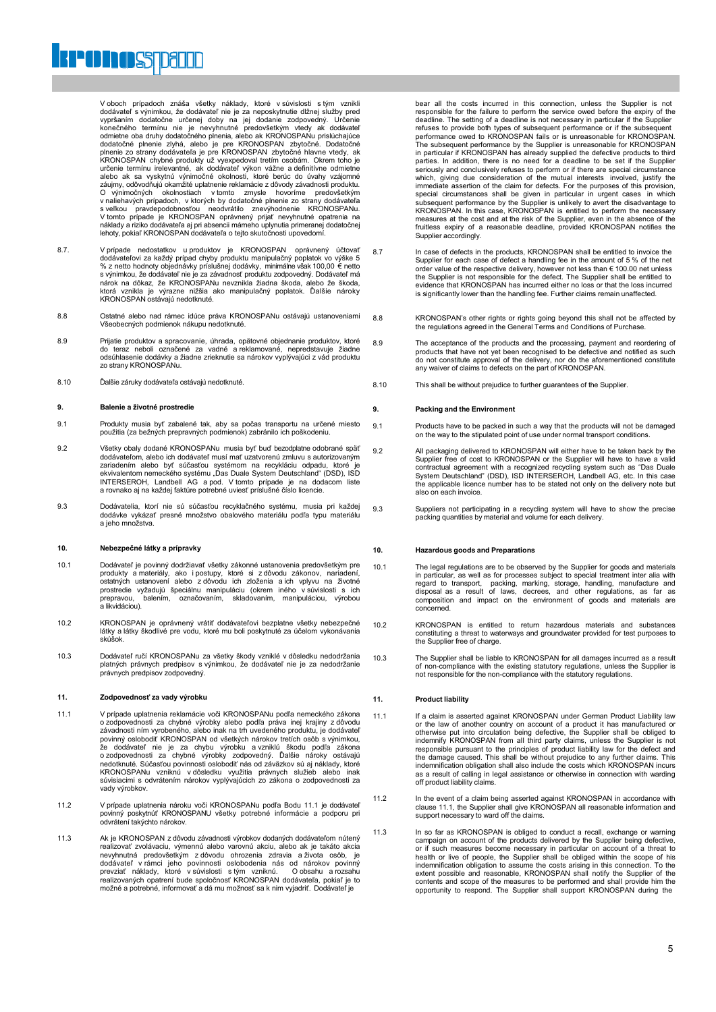

V oboch prípadoch znáša všetky náklady, ktoré v súvislosti s tým vznikli dodávateľ s výnimkou, že dodávateľ nie je za neposkytnutie dlžnej služby pred vypršaním dodatočne určenej doby na jej dodanie zodpovedný. Určenie konečného termínu nie je nevyhnutné predovšetkým vtedy ak dodávateľ<br>odmietne oba druhy dodatočného plnenia, alebo ak KRONOSPANu prisiúchajúce<br>dodatočné pl alebo ak sa vyskytnú výnimočné okolnosti, ktoré berúc do úvahy vzájomné záujmy, odôvodňujú okamžité uplatnenie reklamácie z dôvody závadnosti produktu. O výnimočných okolnostiach v tomto zmysle hovoríme predovšetkým v naliehavých prípadoch, v ktorých by dodatočné plnenie zo strany dodávateľa<br>s veľkou pravdepodobnosťou neodvrátilo znevýhodnenie KRONOSPANu.<br>V tomto prípade je KRONOSPAN oprávnený prijať nevyhnutné opatrenia na<br>náklady a

- 8.7. V prípade nedostatkov u produktov je KRONOSPAN oprávnený účtovať<br>dodávateľovi za každý prípad chyby produktu manipulačný poplatok vo výške 5<br>‰ z netto hodnoty objednávky príslušnej dodávky, minimálne však 100,00 € ne s výnimkou, že dodávateľ nie je za závadnosť produktu zodpovedný. Dodávateľ má<br>nárok na dôkaz, že KRONOSPANu nevznikla žiadna škoda, alebo že škoda,<br>ktorá vznikla je výrazne nižšia ako manipulačný poplatok. Ďalšie nároky KRONOSPAN ostávajú nedotknuté
- 8.8 Ostatné alebo nad rámec idúce práva KRONOSPANu ostávajú ustanoveniami Všeobecných podmienok nákupu nedotknuté.
- 8.9 Prijatie produktov a spracovanie, úhrada, opätovné objednanie produktov, ktoré do teraz neboli označené za vadné a reklamované, nepredstavuje žiadne odsúhlasenie dodávky a žiadne zrieknutie sa nárokov vyplývajúci z vád produktu zo strany KRONOSPANu.
- 8.10 Ďalšie záruky dodávateľa ostávajú nedotknuté.

#### **9. Balenie a životné prostredie**

- 9.1 Produkty musia byť zabalené tak, aby sa počas transportu na určené miesto použitia (za bežných prepravných podmienok) zabránilo ich poškodeniu.
- 9.2 Všetky obaly dodané KRONOSPANu musia byť buď bezodplatne odobrané späť dodávateľom, alebo ich dodávateľ musí mať uzatvorenú zmluvu s autorizovaným zariadením alebo byť súčasťou systémom na recykláciu odpadu, ktoré je<br>ekvivalentom nemeckého systému "Das Duale System Deutschland" (DSD), ISD INTERSEROH, Landbell AG a pod. V tomto prípade je na dodacom liste a rovnako aj na každej faktúre potrebné uviesť príslušné číslo licencie.
- 9.3 Dodávatelia, ktorí nie sú súčasťou recyklačného systému, musia pri každej dodávke vykázať presné množstvo obalového materiálu podľa typu materiálu a jeho množstva.

#### **10. Nebezpečné látky a prípravky**

- 10.1 Dodávateľ je povinný dodržiavať všetky zákonné ustanovenia predovšetkým pre<br>produkty a materiály, ako i postupy, ktoré si zdôvodu zákonov, nariadení,<br>ostatných ustanovení alebo zdôvodu ich zloženia a ich vplyvu na živ prostredie vyžadujú špeciálnu manipuláciu (okrem iného v súvislosti s ich prepravou, balením, označovaním, skladovaním, manipuláciou, výrobou prepravou, balením, skladovaním, manipuláciou, výrobou, a likvidáciou).
- 10.2 KRONOSPAN je oprávnený vrátiť dodávateľovi bezplatne všetky nebezpečné látky a látky škodlivé pre vodu, ktoré mu boli poskytnuté za účelom vykonávania skúšok.
- 10.3 Dodávateľ ručí KRONOSPANu za všetky škody vzniklé v dôsledku nedodržania platných právnych predpisov s výnimkou, že dodávateľ nie je za nedodržanie právnych predpisov zodpovedný.

#### **11. Zodpovednosť za vady výrobku**

- 11.1 V prípade uplatnenia reklamácie voči KRONOSPANu podľa nemeckého zákona o zodpovednosti za chybné výrobky alebo podľa práva inej krajiny z dôvodu závadnosti ním vyrobeného, alebo inak na trh uvedeného produktu, je dodávateľ<br>povinný oslobodiť KRONOSPAN od všetkých nárokov tretích osôb s výnimkou,<br>že dodávateľ nie je za chybu výrobku a vzniklú škodu podľa zákona<br>o zod KRONOSPANu vzniknú v dôsledku využitia právnych služieb alebo inak súvisiacimi s odvrátením nárokov vyplývajúcich zo zákona o zodpovednosti za vady výrobkov.
- 11.2 V prípade uplatnenia nároku voči KRONOSPANu podľa Bodu 11.1 je dodávateľ povinný poskytnúť KRONOSPANU všetky potrebné informácie a podporu pri odvrátení takýchto nárokov.
- 11.3 Ak je KRONOSPAN z dôvodu závadnosti výrobkov dodaných dodávateľom nútený realizovať zvolávaciu, výmennú alebo varovnú akciu, alebo ak je takáto akcia nevyhnutná predovšetkým zdôvodu ohrozenia zdravia aživota osôb, je<br>dodávateľ v rámci jeho povinnosti oslobodenia nás od nárokov povinný<br>prevziať náklady, ktoré v súvislosti s tým vzniknú. O obsahu a rozsahu<br>realizovaných možné a potrebné, informovať a dá mu možnosť sa k nim vyjadriť. Dodávateľ je

bear all the costs incurred in this connection, unless the Supplier is not responsible for the failure to perform the service owed before the expiry of the deadline. The setting of a deadline is not necessary in particular if the Supplier<br>refuses to provide both types of subsequent performance or if the subsequent<br>performance owed to KRONOSPAN fails or is unreasonable for KRO The subsequent performance by the Supplier is unreasonable for KRONOSPAN in particular if KRONOSPAN has already supplied the defective products to third<br>parties. In addition, there is no need for a deadline to be set if the Supplier<br>seriously and conclusively refuses to perform or if there are which, giving due consideration of the mutual interests involved, justify the immediate assertion of the claim for defects. For the purposes of this provision, special circumstances shall be given in particular in urgent cases in which subsequent performance by the Supplier is unlikely to avert the disadvantage to KRONOSPAN. In this case, KRONOSPAN is entitled to perform the necessary<br>measures at the cost and at the risk of the Supplier, even in the absence of the<br>fruitless expiry of a reasonable deadline, provided KRONOSPAN notifie Supplier accordingly.

- 8.7 In case of defects in the products, KRONOSPAN shall be entitled to invoice the Supplier for each case of defect a handling fee in the amount of 5 % of the net order value of the respective delivery, however not less than € 100.00 net unless the Supplier is not responsible for the defect. The Supplier shall be entitled to evidence that KRONOSPAN has incurred either no loss or that the loss incurred is significantly lower than the handling fee. Further claims remain unaffected.
- 8.8 KRONOSPAN's other rights or rights going beyond this shall not be affected by the regulations agreed in the General Terms and Conditions of Purchase.
- 8.9 The acceptance of the products and the processing, payment and reordering of products that have not yet been recognised to be defective and notified as such do not constitute approval of the delivery, nor do the aforem
- 8.10 This shall be without prejudice to further guarantees of the Supplier.

#### **9. Packing and the Environment**

- 9.1 Products have to be packed in such a way that the products will not be damaged on the way to the stipulated point of use under normal transport conditions.
- 9.2 All packaging delivered to KRONOSPAN will either have to be taken back by the Supplier free of cost to KRONOSPAN or the Supplier will have to have a valid contractual agreement with a recognized recycling system such as "Das Duale System Deutschland" (DSD), ISD INTERSEROH, Landbell AG, etc. In this case the applicable licence number has to be stated not only on the delivery note but also on each invoice.
- 9.3 Suppliers not participating in a recycling system will have to show the precise packing quantities by material and volume for each delivery.

#### **10. Hazardous goods and Preparations**

- 10.1 The legal regulations are to be observed by the Supplier for goods and materials in particular, as well as for processes subject to special treatment inter alia with<br>regard to transport, packing, marking, storage, handling, manufacture and<br>disposal as a result of laws, decrees, and other regulations, a disposal as a result of laws, decrees, and other regulations, as far as composition and impact on the environment of goods and materials are concerned.
- 10.2 KRONOSPAN is entitled to return hazardous materials and substances constituting a threat to waterways and groundwater provided for test purposes to the Supplier free of charge.
- 10.3 The Supplier shall be liable to KRONOSPAN for all damages incurred as a result of non-compliance with the existing statutory regulations, unless the Supplier is not responsible for the non-compliance with the statutory regulations.

#### **11. Product liability**

- 11.1 If a claim is asserted against KRONOSPAN under German Product Liability law or the law of another country on account of a product it has manufactured or otherwise put into circulation being defective, the Supplier shall be obliged to indemnify KRONOSPAN from all third party claims, unless the Supplier is not responsible pursuant to the principles of product liability law for the defect and the damage caused. This shall be without prejudice to any further claims. This indemnification obligation shall also include the costs which KRONOSPAN incurs as a result of calling in legal assistance or otherwise in connection with warding off product liability claims.
- 11.2 In the event of a claim being asserted against KRONOSPAN in accordance with clause 11.1, the Supplier shall give KRONOSPAN all reasonable information and support necessary to ward off the claims.
- 11.3 In so far as KRONOSPAN is obliged to conduct a recall, exchange or warning campaign on account of the products delivered by the Supplier being defective, or if such measures become necessary in particular on account of a threat to health or live of people, the Supplier shall be obliged within the scope of his indemnification obligation to assume the costs arising in this connection. To the<br>extent possible and reasonable, KRONOSPAN shall notify the Supplier of the<br>contents and scope of the measures to be performed and shall prov opportunity to respond. The Supplier shall support KRONOSPAN during the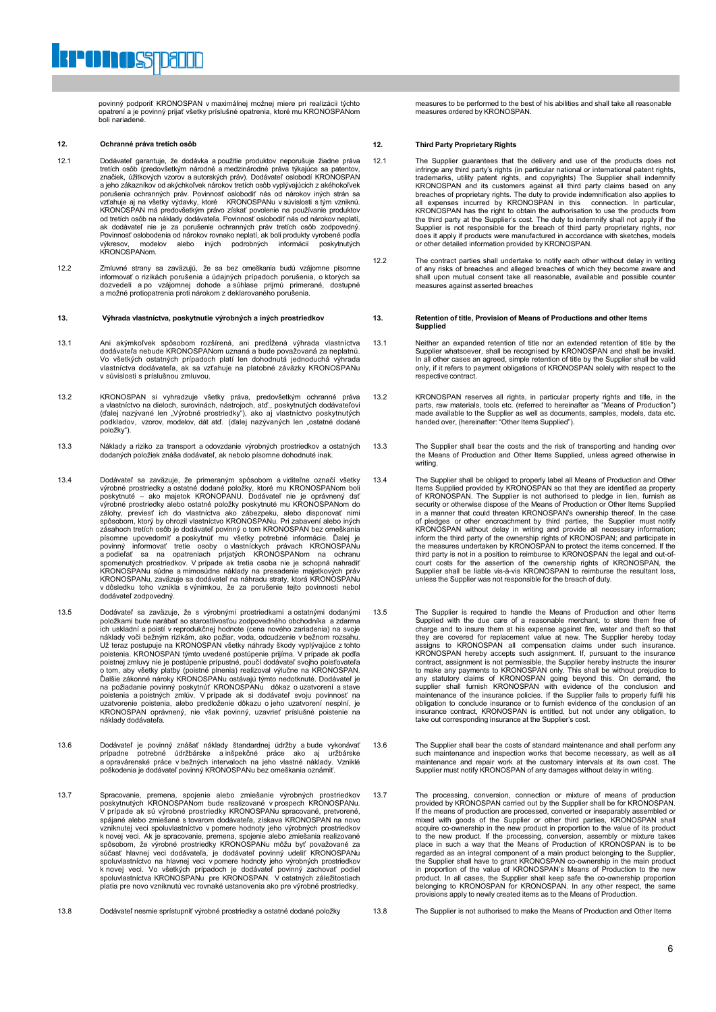povinný podporiť KRONOSPAN v maximálnej možnej miere pri realizácii týchto opatrení a je povinný prijať všetky príslušné opatrenia, ktoré mu KRONOSPANom boli nariadené.

#### **12. Ochranné práva tretích osôb**

**PONOSTDEND** 

- 12.1 Dodávateľ garantuje, že dodávka a použitie produktov neporušuje žiadne práva tretích osôb (predovšetkým národné a medzinárodné práva týkajúce sa patentov, značiek, úžitkových vzorov a autorských práv). Dodávateľ oslobodí KRONOSPAN a jeho zákazníkov od akýchkoľvek nárokov tretích osôb vyplývajúcich z akéhokoľvek porušenia ochranných práv. Povinnosť oslobodiť nás od nárokov iných strán sa<br>vzťahuje aj na všetky výdavky, ktoré KRONOSPANu v súvislosti s tým vzniknú.<br>KRONOSPAN má predovšetkým právo získať povolenie na používanie produ od tretích osôb na náklady dodávateľa. Povinnosť oslobodiť nás od nárokov neplatí, ak dodávateľ nie je za porušenie ochranných práv tretích osôb zodpovedný.<br>Povinnosť oslobodenia od nárokov rovnako neplatí, ak boli produkty vyrobené podľa<br>výkresov, modelov alebo iných podrobných informácií poskytnutých r ovimiost osiobodchia<br>výkresov, modelov<br>KRONOSPANom
- 12.2 Zmluvné strany sa zaväzujú, že sa bez omeškania budú vzájomne písomne informovať o rizikách porušenia a údajných prípadoch porušenia, o ktorých sa dozvedeli a po vzájomnej dohode a súhlase prijmú primerané, dostupné a možné protiopatrenia proti nárokom z deklarovaného porušenia.

- 13.1 Ani akýmkoľvek spôsobom rozšírená, ani predĺžená výhrada vlastníctva dodávateľa nebude KRONOSPANom uznaná a bude považovaná za neplatnú. Vo všetkých ostatných prípadoch platí len dohodnutá jednoduchá výhrada vlastníctva dodávateľa, ak sa vzťahuje na platobné záväzky KRONOSPANu v súvislosti s príslušnou zmluvou.
- 13.2 KRONOSPAN si vyhradzuje všetky práva, predovšetkým ochranné práva<br>a vlastníctvo na dieloch, surovinách, nástrojoch, atď., poskytnutých dodávateľovi<br>(ďalej nazývané len "Výrobné prostriedky"), ako aj vlastníctvo poskyt položky").
- 13.3 Náklady a riziko za transport a odovzdanie výrobných prostriedkov a ostatných dodaných položiek znáša dodávateľ, ak nebolo písomne dohodnuté inak.
- 13.4 Dodávateľ sa zaväzuje, že primeraným spôsobom a viditeľne označí všetky výrobné prostriedky a ostatné dodané položky, ktoré mu KRONOSPANom boli<br>poskytnuté – ako majetok KRONOPANU. Dodávateľ nie je oprávnený dať<br>výrobné prostriedky alebo ostatné položky poskytnuté mu KRONOSPANom do<br>zálohy, prev písomne upovedomiť a poskytnúť mu všetky potrebné informácie. Ďalej je povinný informovať tretie osoby o vlastníckych právach KRONOSPANu a podieľať sa na opatreniach prijatých KRONOSPANu na ochranu spomenutých prostriedkov dodávateľ zodpovedný.
- 13.5 Dodávateľ sa zaväzuje, že s výrobnými prostriedkami a ostatnými dodanými položkami bude narábať so starostlivosťou zodpovedného obchodníka a zdarma ich uskladní a poistí v reprodukčnej hodnote (cena nového zariadenia) na požiadanie povinný poskytnúť KRONOSPANu dôkaz o uzatvorení a stave poistenia a poistných zmlúv. V prípade ak si dodávateľ svoju povinnosť na uzatvorenie poistenia, alebo predloženie dôkazu o jeho uzatvorení nesplní, je KRONOSPAN oprávnený, nie však povinný, uzavrieť príslušné poistenie na náklady dodávateľa.
- 13.6 Dodávateľ je povinný znášať náklady štandardnej údržby a bude vykonávať<br>prípadne potrebné údržbárske a inšpekčné práce ako aj uržbárske<br>a opravárenské práce v bežných intervaloch na jeho vlastné náklady. Vzniklé<br>poško
- 13.7 Spracovanie, premena, spojenie alebo zmiešanie výrobných prostriedkov<br>poskytnutých KRONOSPANom bude realizované v prospech KRONOSPANu.<br>V prípade ak sú výrobné prostriedky KRONOSPANu spracované, pretvorené,<br>spájané ale vzniknutej veci spoluvlastníctvo v pomere hodnoty jeho výrobných prostriedkov<br>k novej veci. Ak je spracovanie, premena, spojenie alebo zmiešania realizované<br>spôsobom, že výrobné prostriedky KRONOSPANu môžu byť považované z spoluvlastníctvo na hlavnej veci v pomere hodnoty jeho výrobných prostriedkov<br>k novej veci. Vo všetkých prípadoch je dodávateľ povinný zachovať podiel<br>spoluvlastníctva KRONOSPANu pre KRONOSPAN. V ostatných záležitostiach platia pre novo vzniknutú vec rovnaké ustanovenia ako pre výrobné prostriedky.
- 13.8 Dodávateľ nesmie sprístupniť výrobné prostriedky a ostatné dodané položky 13.8 The Supplier is not authorised to make the Means of Production and Other Items

measures to be performed to the best of his abilities and shall take all reasonable measures ordered by KRONOSPAN.

#### **12. Third Party Proprietary Rights**

- 12.1 The Supplier guarantees that the delivery and use of the products does not infringe any third party's rights (in particular national or intermational patent rights, trademarks, utility patent rights, and copyrights) T Supplier is not responsible for the breach of third party proprietary rights, nor does it apply if products were manufactured in accordance with sketches, models or other detailed information provided by KRONOSPAN.
- 12.2 The contract parties shall undertake to notify each other without delay in writing of any risks of breaches and alleged breaches of which they become aware and shall upon mutual consent take all reasonable, available and possible counter measures against asserted breaches

#### **13. Výhrada vlastníctva, poskytnutie výrobných a iných prostriedkov 13. Retention of title, Provision of Means of Productions and other Items Supplied**

- 13.1 Neither an expanded retention of title nor an extended retention of title by the Supplier whatsoever, shall be recognised by KRONOSPAN and shall be invalid. In all other cases an agreed, simple retention of title by the Supplier shall be valid only, if it refers to payment obligations of KRONOSPAN solely with respect to the respective contract.
- 13.2 KRONOSPAN reserves all rights, in particular property rights and title, in the parts, raw materials, tools etc. (referred to hereinafter as "Means of Production") made available to the Supplier as well as documents, samples, models, data etc. handed over, (hereinafter: "Other Items Supplied").
- 13.3 The Supplier shall bear the costs and the risk of transporting and handing over the Means of Production and Other Items Supplied, unless agreed otherwise in writing.
- 13.4 The Supplier shall be obliged to properly label all Means of Production and Other Items Supplied provided by KRONOSPAN so that they are identified as property of KRONOSPAN. The Supplier is not authorised to pledge in lien, furnish as security or otherwise dispose of the Means of Production or Other Items Supplied in a manner that could threaten KRONOSPAN's ownership thereof. In the case of pledges or other encroachment by third parties, the Supplier must notify<br>KRONOSPAN without delay in writing and provide all necessary information;<br>inform the third party of the ownership rights of KRONOSPAN; and partici court costs for the assertion of the ownership rights of KRONOSPAN, the Supplier shall be liable vis-à-vis KRONOSPAN to reimburse the resultant loss, unless the Supplier was not responsible for the breach of duty.
- 13.5 The Supplier is required to handle the Means of Production and other Items Supplied with the due care of a reasonable merchant, to store them free of charge and to insure them at his expense against fire, water and theft so that they are covered for replacement value at new. The Supplier hereby today assigns to KRONOSPAN all compensation claims under such insurance. KRONOSPAN hereby accepts such assignment. If, pursuant to the insurance contract, assignment is not permissible, the Supplier hereby instructs the insurer to make any payments to KRONOSPAN only. This shall be without prejudice to any statutory claims of KRONOSPAN going beyond this. On demand, the supplier shall furnish KRONOSPAN with evidence of the conclusion and maintenanc obligation to conclude insurance or to furnish evidence of the conclusion of an insurance contract, KRONOSPAN is entitled, but not under any obligation, to take out corresponding insurance at the Supplier's cost.
- 13.6 The Supplier shall bear the costs of standard maintenance and shall perform any such maintenance and inspection works that become necessary, as well as all maintenance and repair work at the customary intervals at its own cost. The Supplier must notify KRONOSPAN of any damages without delay in writing.
- 13.7 The processing, conversion, connection or mixture of means of production<br>provided by KRONOSPAN carried out by the Supplier shall be for KRONOSPAN.<br>If the means of production are processed, converted or inseparably ass mixed with goods of the Supplier or other third parties, KRONOSPAN shall acquire co-ownership in the new product in proportion to the value of its product<br>to the new product. If the processing, conversion, assembly or mixture takes<br>place in such a way that the Means of Production of KRONOSPAN i regarded as an integral component of a main product belonging to the Supplier,<br>the Supplier shall have to grant KRONOSPAN co-ownership in the main product<br>in proportion of the value of KRONOSPAN's Means of Production to th
	-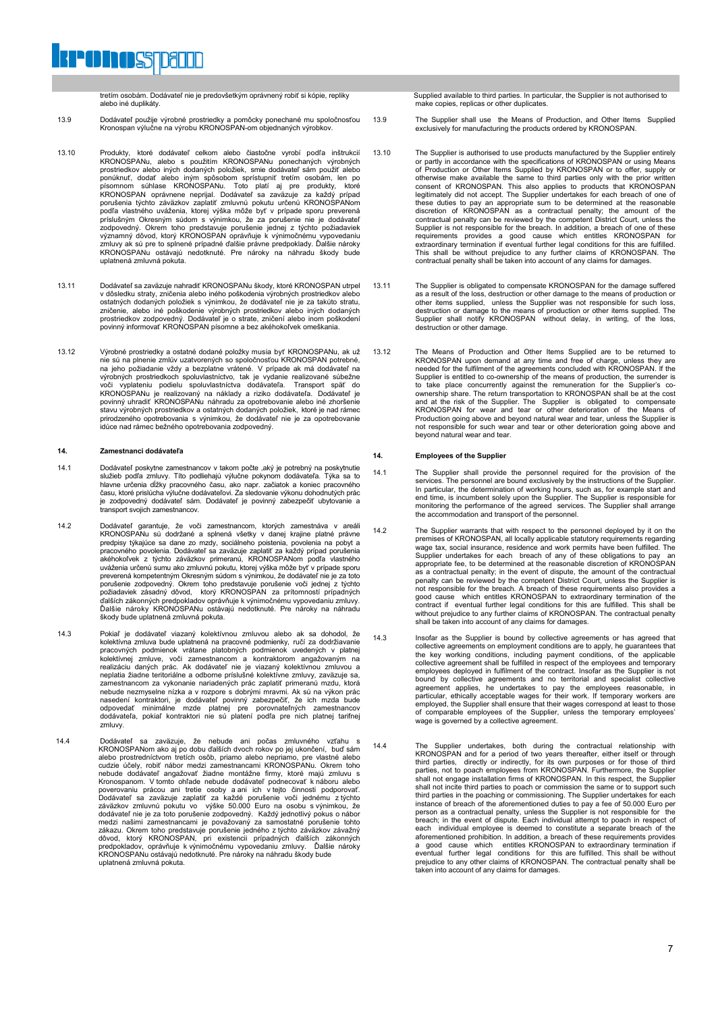tretím osobám. Dodávateľ nie je predovšetkým oprávnený robiť si kópie, repliky alebo iné duplikáty.

**PODDOSTRATIT** 

- 13.9 Dodávateľ použije výrobné prostriedky a pomôcky ponechané mu spoločnosťou Kronospan výlučne na výrobu KRONOSPAN-om objednaných výrobkov.
- 13.10 Produkty, ktoré dodávateľ celkom alebo čiastočne vyrobí podľa inštrukcií<br>KRONOSPANu, alebo s použitím KRONOSPANu ponechaných výrobných<br>prostriedkov alebo iných dodaných položiek, smie dodávateľ sám použiť alebo ponúknuť, dodať alebo iným spôsobom sprístupniť tretím osobám, len po<br>písomnom súhlase KRONOSPANu. Toto platí aj pre produkty, ktoré<br>KRONOSPAN oprávnene neprijal. Dodávateľ sa zaväzuje za každý prípad<br>porušenia týchto závä podľa vlastného uváženia, ktorej výška môže byť v prípade sporu preverená príslušným Okresným súdom s výnimkou, že za porušenie nie je dodávateľ zodpovedný. Okrem toho predstavuje porušenie jednej z týchto požiadaviek významný dôvod, ktorý KRONOSPAN oprávňuje k výnimočnému vypovedaniu zmluvy ak sú pre to splnené prípadné ďalšie právne predpoklady. Ďalšie nároky KRONOSPANu ostávajú nedotknuté. Pre nároky na náhradu škody bude uplatnená zmluvná pokuta.
- 13.11 Dodávateľ sa zaväzuje nahradiť KRONOSPANu škody, ktoré KRONOSPAN utrpel v dôsledku straty, zničenia alebo iného poškodenia výrobných prostriedkov alebo ostatných dodaných položiek s výnimkou, že dodávateľ nie je za takúto stratu, zničenie, alebo iné poškodenie výrobných prostriedkov alebo iných dodaných prostriedkov zodpovedný. Dodávateľ je o strate, zničení alebo inom poškodení povinný informovať KRONOSPAN písomne a bez akéhokoľvek omeškania.
- 13.12 Výrobné prostriedky a ostatné dodané položky musia byť KRONOSPANu, ak už<br>nie sú na plnenie zmlúv uzatvorených so spoločnosťou KRONOSPAN potrebné,<br>na jeho požiadanie vždy a bezplatne vrátené. V prípade ak má dodávateľ výrobných prostriedkoch spoluvlastníctvo, tak je vydanie realizované súbežne voči vyplateniu podielu spoluvlastníctva dodávateľa. Transport späť do KRONOSPANu je realizovaný na náklady a riziko dodávateľa. Dodávateľ je povinný uhradiť KRONOSPANu náhradu za opotrebovanie alebo iné zhoršenie stavu výrobných prostriedkov a ostatných dodaných položiek, ktoré je nad rámec<br>prirodzeného opotrebovania s výnimkou, že dodávateľ nie je za opotrebovanie<br>idúce nad rámec bežného opotrebovania zodpovedný.

### **14. Zamestnanci dodávateľa**

- 14.1 Dodávateľ poskytne zamestnancov v takom počte ,aký je potrebný na poskytnutie služieb podľa zmluvy. Títo podliehajú výlučne pokynom dodávateľa. Týka sa to<br>hlavne určenia dĺžky pracovného času, ako napr. začiatok a koniec pracovného<br>času, ktoré prislúcha výlučne dodávateľovi. Za sledovanie výkonu doh je zodpovedný dodávateľ sám. Dodávateľ je povinný zabezpečiť ubytovanie a transport svojich zamestnancov.
- 14.2 Dodávateľ garantuje, že voči zamestnancom, ktorých zamestnáva v areáli<br>KRONOSPANu sú dodržané a splnená všetky v danej krajine platné právne<br>predpisy týkajúce sa dane zo mzdy, sociálneho poistenia, povolenia na pobyt akéhokoľvek z týchto záväzkov primeranú, KRONOSPANom podľa vlastného uváženia určenú sumu ako zmluvnú pokutu, ktorej výška môže byť v prípade sporu<br>preverená kompetentným Okresným súdom s výnimkou, že dodávateľ nie je za toto<br>ponušenie zodpovedný. Okrem toho predstavuje porušenie voči jedne Ďalšie nároky KRONOSPANu ostávajú nedotknuté. Pre nároky na náhradu škody bude uplatnená zmluvná pokuta.
- 14.3 Pokiaľ je dodávateľ viazaný kolektívnou zmluvou alebo ak sa dohodol, že kolektívna zmluva bude uplatnená na pracovné podmienky, ručí za dodržiavanie pracovných podmienok vrátane platobných podmienok uvedených v platnej kolektívnej zmluve, voči zamestnancom a kontraktorom angažovaným na realizáciu daných prác. Ak dodávateľ nie je viazaný kolektívnou zmluvou a neplatia žiadne teritoriálne a odborne príslušné kolektívne zmluvy, zaväzuje sa, zamestnancom za vykonanie nariadených prác zaplatiť primeranú mzdu, ktorá nebude nezmyselne nízka a v rozpore s dobrými mravmi. Ak sú na výkon prác nasedení kontraktori, je dodávateľ povinný zabezpečiť, že ich mzda bude<br>odpovedať minimálne mzde platnej pre porovnateľných zamestnancov<br>dodávateľa, pokiaľ kontraktori nie sú platení podľa pre nich platnej tarifnej zmluvy.
- 14.4 Dodávateľ sa zaväzuje, že nebude ani počas zmluvného vzťahu s KRONOSPANom ako aj po dobu ďalších dvoch rokov po jej ukončení, buď sám alebo prostredníctvom tretích osôb, priamo alebo nepriamo, pre vlastné alebo<br>cudzie účely, robiť nábor medzi zamestnancami KRONOSPANu. Okrem toho<br>nebude dodávateľ angažovať žiadne montážne firmy, ktoré majú zmluvu s Kronospanom. V tomto ohľade nebude dodávateľ podnecovať k náboru alebo<br>poverovaniu prácou ani tretie osoby a ani ich v tejto činnosti podprovať.<br>Dodávateľ sa zaväzuje zaplatiť za každé porušenie voči jednému z týchto<br>záväz dôvod, ktorý KRONOSPAN, pri existencii prípadných ďalších zákonných<br>predpokladov, oprávňuje k výnimočnému vypovedaniu zmluvy. Ďalšie nároky<br>KRONOSPANu ostávajú nedotknuté.Pre nároky na náhradu škody bude uplatnená zmluvná pokuta.

Supplied available to third parties. In particular, the Supplier is not authorised to make copies, replicas or other duplicates.

- 13.9 The Supplier shall use the Means of Production, and Other Items Supplied exclusively for manufacturing the products ordered by KRONOSPAN.
- 13.10 The Supplier is authorised to use products manufactured by the Supplier entirely or partly in accordance with the specifications of KRONOSPAN or using Means of Production or Other Items Supplied by KRONOSPAN or to offer, supply or otherwise make available the same to third parties only with the prior written consent of KRONOSPAN. This also applies to products that KRONOSPAN legitimately did not accept. The Supplier undertakes for each breach of one of these duties to pay an appropriate sum to be determined at the reasonable discretion of KRONOSPAN as a contractual penalty; the amount of the c Supplier is not responsible for the breach. In addition, a breach of one of these requirements provides a good cause which entitles KRONOSPAN for extraordinary termination if eventual further legal conditions for this are
- 13.11 The Supplier is obligated to compensate KRONOSPAN for the damage suffered as a result of the loss, destruction or other damage to the means of production or other items supplied, unless the Supplier was not responsible for such loss, destruction or damage to the means of production or other items supplied. The Supplier shall notify KRONOSPAN without delay, in writing, of the l
- 13.12 The Means of Production and Other Items Supplied are to be returned to KRONOSPAN upon demand at any time and free of charge, unless they are needed for the fulfilment of the agreements concluded with KRONOSPAN. If the Supplier is entitled to co-ownership of the means of production, the surrender is to take place concurrently against the remuneration for the Supplier's coownership share. The return transportation to KRONOSPAN shall be at the cost<br>and at the risk of the Supplier. The Supplier is obligated to compensate<br>KRONOSPAN for wear and tear or other deterioration of the Means of<br>Produ beyond natural wear and tear.

### **14. Employees of the Supplier**

- 14.1 The Supplier shall provide the personnel required for the provision of the services. The personnel are bound exclusively by the instructions of the Supplier.<br>In particular, the determination of working hours, such as, for example start and<br>end time, is incumbent solely upon the Supplier. The Supp the accommodation and transport of the personnel.
- 14.2 The Supplier warrants that with respect to the personnel deployed by it on the premises of KRONOSPAN, all locally applicable statutory requirements regarding wage tax, social insurance, residence and work permits have as a contractual penalty; in the event of dispute, the amount of the contractual penalty can be reviewed by the competent District Court, unless the Supplier is not responsible for the breach. A breach of these requirements also provides a<br>good cause which entitles KRONOSPAN to extraordinary termination of the<br>contract if eventual further legal conditions for this are fulfilled. T without prejudice to any further claims of KRONOSPAN. The contractual penalty shall be taken into account of any claims for damages.
- 14.3 Insofar as the Supplier is bound by collective agreements or has agreed that collective agreements on employment conditions are to apply, he guarantees that the key working conditions, including payment conditions, of the applicable collective agreement shall be fulfilled in respect of the employees and temporary employees deployed in fulfilment of the contract. Insofar as the Supplier is not bound by collective agreements and no territorial and specialist collective<br>agreement applies, he undertakes to pay the employees reasonable, in<br>particular, ethically acceptable wages for their work. If temporary workers a employed, the Supplier shall ensure that their wages correspond at least to those of comparable employees of the Supplier, unless the temporary employees' wage is governed by a collective agreement.
- 14.4 The Supplier undertakes, both during the contractual relationship with KRONOSPAN and for a period of two years thereafter, either itself or through<br>third parties, directly or indirectly, for its own purposes or for those of third<br>parties, not to poach employees from KRONOSPAN. In this respect third parties in the poaching or commissioning. The Supplier undertakes for each instance of breach of the aforementioned duties to pay a fee of 50.000 Euro per<br>person as a contractual penalty, unless the Supplier is not responsible for the<br>breach; in the event of dispute. Each individual attempt to po each individual employee is deemed to constitute a separate breach of the aforementioned prohibition. In addition, a breach of these requirements provides a good cause which entitles KRONOSPAN to extraordinary termination if<br>eventual further legal conditions for this are fulfilled. This shall be without<br>prejudice to any other claims of KRONOSPAN. The contractual penalty shal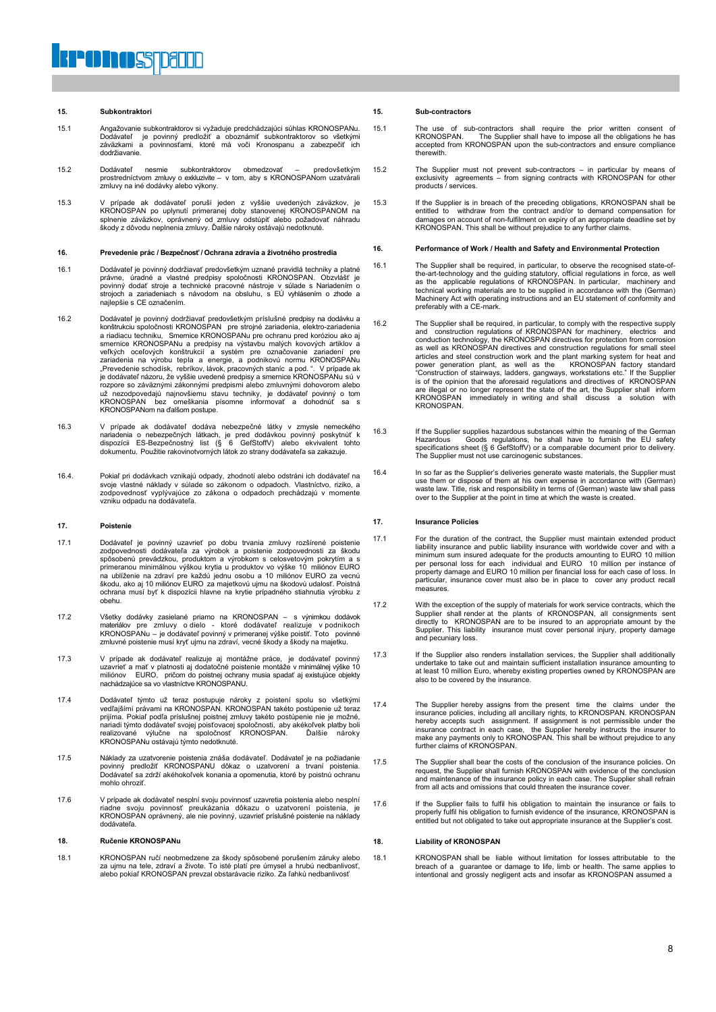#### **15. Subkontraktori**

- 15.1 Angažovanie subkontraktorov si vyžaduje predchádzajúci súhlas KRONOSPANu. Dodávateľ je povinný predložiť a oboznámiť subkontraktorov so všetkými záväzkami a povinnosťami, ktoré má voči Kronospanu a zabezpečiť ich dodržiavanie.
- 15.2 Dodávateľ nesmie subkontraktorov obmedzovať predovšetkým prostredníctvom zmluvy o exkluzivite v tom, aby s KRONOSPANom uzatvárali zmluvy na iné dodávky alebo výkony.
- 15.3 V prípade ak dodávateľ poruší jeden z vyššie uvedených záväzkov, je KRONOSPAN po uplynutí primeranej doby stanovenej KRONOSPANOM na splnenie záväzkov, oprávnený od zmluvy odstúpiť alebo požadovať náhradu škody z dôvodu neplnenia zmluvy. Ďalšie nároky ostávajú nedotknuté.

#### **16. Prevedenie prác / Bezpečnosť / Ochrana zdravia a životného prostredia**

- 16.1 Dodávateľ je povinný dodržiavať predovšetkým uznané pravidlá techniky a platné právne, úradné a vlastné predpisy spoločnosti KRONOSPAN. Obzvlášť je<br>povinný dodať stroje a technické pracovné nástroje v súlade s Nariadením o<br>strojoch a zariadeniach s návodom na obsluhu, s EÚ vyhlásením o zhode a najlepšie s CE označením.
- 16.2 Dodávateľ je povinný dodržiavať predovšetkým príslušné predpisy na dodávku a<br>konštrukciu spoločnosti KRONOSPAN pre strojné zariadenia, elektro-zariadenia<br>a riadiacu techniku, Smernice KRONOSPANu pre ochranu pred koróz smernice KRONOSPANu a predpisy na výstavbu malých kovových artiklov a veľkých oceľových konštrukcií a systém pre označovanie zariadení pre<br>zariadenia na výrobu tepla a energie, a podnikovú normu KRONOSPANu<br>"Prevedenie schodísk, rebríkov, kávok, pracovných staníc a pod.". V prípade ak<br>je dodá už nezodpovedajú najnovšiemu stavu techniky, je dodávateľ povinný o tom KRONOSPAN bez omeškania písomne informovať a dohodnúť sa s KRONOSPANom na ďalšom postupe.
- 16.3 V prípade ak dodávateľ dodáva nebezpečné látky v zmysle nemeckého nariadenia o nebezpečných látkach, je pred dodávkou povinný poskytnúť k<br>dispozícii ES-Bezpečnostný list (§ 6 GefStoffV) alebo ekvivalent tohto<br>dokumentu. Použitie rakovinotvorných látok zo strany dodávateľa sa zakazuje.
- 16.4. Pokiaľ pri dodávkach vznikajú odpady, zhodnotí alebo odstráni ich dodávateľ na svoje vlastné náklady v súlade so zákonom o odpadoch. Vlastníctvo, riziko, a zodpovednosť vyplývajúce zo zákona o odpadoch prechádzajú v momente vzniku odpadu na dodávateľa.

#### **17. Poistenie**

- 17.1 Dodávateľ je povinný uzavrieť po dobu trvania zmluvy rozšírené poistenie zodpovednosti dodávateľa za výrobok a poistenie zodpovednosti za škodu spôsobenú prevádzkou, produktom a výrobkom s celosvetovým pokrytím a s primeranou minimálnou výškou krytia u produktov vo výške 10 miliónov EURO<br>na ublíženie na zdraví pre každú jednu osobu a 10 miliónov EURO za vecnú<br>škodu, ako aj 10 miliónov EURO za majetkovú ujmu na škodovú udalosť. Poistn ochrana musí byť k dispozícii hlavne na krytie prípadného stiahnutia výrobku z obehu.
- 17.2 Všetky dodávky zasielané priamo na KRONOSPAN s výnimkou dodávok materiálov pre zmluvy o dielo ktoré dodávateľ realizuje v podnikoch KRONOSPANu – je dodávateľ povinný v primeranej výške poistiť. Toto povinné zmluvné poistenie musí kryť ujmu na zdraví, vecné škody a škody na majetku.
- 17.3 V prípade ak dodávateľ realizuje aj montážne práce, je dodávateľ povinný<br>uzavrieť a mať v platnosti aj dodatočné poistenie montáže v minimálnej výške 10<br>miliónov EURO, pričom do poistnej ochrany musia spadať aj existu nachádzajúce sa vo vlastníctve KRONOSPANU.
- 17.4 Dodávateľ týmto už teraz postupuje nároky z poistení spolu so všetkými vedľajšími právami na KRONOSPAN. KRONOSPAN takéto postúpenie už teraz prijíma. Pokiaľ podľa príslušnej poistnej zmluvy takéto postúpenie nie je možné,<br>nariadi týmto dodávateľ svojej poisťovacej spoločnosti, aby akékoľvek platby boli<br>realizované výlučne na spoločnosť KRONOSPAN. Ďa KRONOSPANu ostávajú týmto nedotknuté.
- 17.5 Náklady za uzatvorenie poistenia znáša dodávateľ. Dodávateľ je na požiadanie povinný predložiť KRONOSPANU dôkaz o uzatvorení a trvaní poistenia. Dodávateľ sa zdrží akéhokoľvek konania a opomenutia, ktoré by poistnú ochranu mohlo ohroziť.
- 17.6 V prípade ak dodávateľ nesplní svoju povinnosť uzavretia poistenia alebo nesplní riadne svoju povinnosť preukázania dôkazu o uzatvorení poistenia, je KRONOSPAN oprávnený, ale nie povinný, uzavrieť príslušné poistenie na náklady dodávateľa.

#### **18. Ručenie KRONOSPANu**

18.1 KRONOSPAN ručí neobmedzene za škody spôsobené porušením záruky alebo za ujmu na tele, zdraví a živote. To isté platí pre úmysel a hrubú nedbanlivosť, alebo pokiaľ KRONOSPAN prevzal obstarávacie riziko. Za ľahkú nedbanlivosť

#### **15. Sub-contractors**

- 15.1 The use of sub-contractors shall require the prior written consent of KRONOSPAN. The Supplier shall have to impose all the obligations he has accepted from KRONOSPAN upon the sub-contractors and ensure compliance therewith.
- 15.2 The Supplier must not prevent sub-contractors in particular by means of exclusivity agreements from signing contracts with KRONOSPAN for other products / services.
- 15.3 If the Supplier is in breach of the preceding obligations, KRONOSPAN shall be entitled to withdraw from the contract and/or to demand compensation for damages on account of non-fulfilment on expiry of an appropriate deadline set by KRONOSPAN. This shall be without prejudice to any further claims.

#### **16. Performance of Work / Health and Safety and Environmental Protection**

- 16.1 The Supplier shall be required, in particular, to observe the recognised state-ofthe-art-technology and the guiding statutory, official regulations in force, as well<br>as the applicable regulations of KRONOSPAN. In particular, machinery and<br>technical working materials are to be supplied in accordance wit Machinery Act with operating instructions and an EU statement of conformity and preferably with a CE-mark.
- 16.2 The Supplier shall be required, in particular, to comply with the respective supply and construction regulations of KRONOSPAN for machinery, electrics and conduction technology, the KRONOSPAN directives for protection articles and steel construction work and the plant marking system for heat and<br>power generation plant, as well as the KRONOSPAN factory standard<br>"Construction of stairways, ladders, gangways, workstations etc." If the Supp are illegal or no longer represent the state of the art, the Supplier shall inform KRONOSPAN immediately in writing and shall discuss a solution with **KRONOSPAN**
- 16.3 If the Supplier supplies hazardous substances within the meaning of the German Hazardous Goods regulations, he shall have to furnish the EU safety<br>specifications sheet (§ 6 GefStoffV) or a comparable document prior to delivery.<br>The Supplier must not use carcinogenic substances.
- 16.4 In so far as the Supplier's deliveries generate waste materials, the Supplier must use them or dispose of them at his own expense in accordance with (German) waste law. Title, risk and responsibility in terms of (German) waste law shall pass over to the Supplier at the point in time at which the waste is created.

#### **17. Insurance Policies**

- 17.1 For the duration of the contract, the Supplier must maintain extended product liability insurance and public liability insurance with worldwide cover and with a minimum sum insured adequate for the products amounting to EURO 10 million per personal loss for each individual and EURO 10 million per instance of property damage and EURO 10 million per financial loss for each case of loss. In particular, insurance cover must also be in place to cover any product recall measures.
- 17.2 With the exception of the supply of materials for work service contracts, which the Supplier shall render at the plants of KRONOSPAN, all consignments sent directly to KRONOSPAN are to be insured to an appropriate amount by the Supplier. This liability insurance must cover personal injury, property damage and pecuniary loss.
- 17.3 If the Supplier also renders installation services, the Supplier shall additionally undertake to take out and maintain sufficient installation insurance amounting to at least 10 million Euro, whereby existing properties owned by KRONOSPAN are also to be covered by the insurance.
- 17.4 The Supplier hereby assigns from the present time the claims under the insurance policies, including all ancillary rights, to KRONOSPAN. KRONOSPAN interbacking the present in each case, the Supplier hereby insurance c
- 17.5 The Supplier shall bear the costs of the conclusion of the insurance policies. On request, the Supplier shall furnish KRONOSPAN with evidence of the conclusion and maintenance of the insurance policy in each case. The Supplier shall refrain from all acts and omissions that could threaten the insurance cover.
- 17.6 If the Supplier fails to fulfil his obligation to maintain the insurance or fails to properly fulfil his obligation to furnish evidence of the insurance, KRONOSPAN is entitled but not obligated to take out appropriate insurance at the Supplier's cost.

#### **18. Liability of KRONOSPAN**

18.1 KRONOSPAN shall be liable without limitation for losses attributable to the breach of a guarantee or damage to life, limb or health. The same applies to intentional and grossly negligent acts and insofar as KRONOSPAN assumed a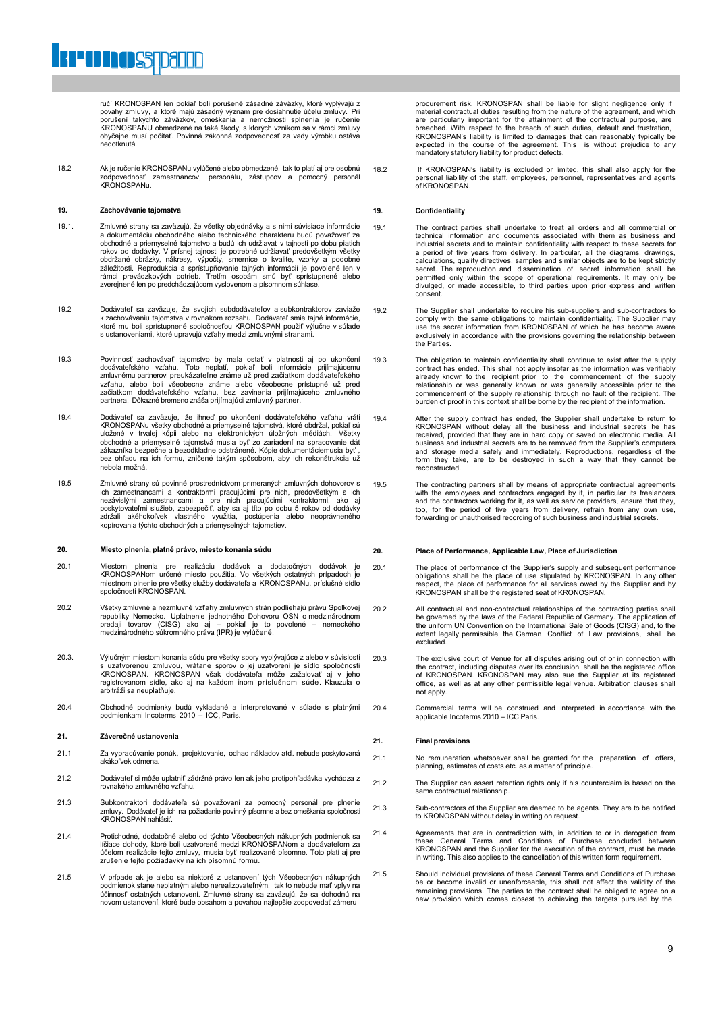ručí KRONOSPAN len pokiaľ boli porušené zásadné záväzky, ktoré vyplývajú z povahy zmluvy, a ktoré majú zásadný význam pre dosiahnutie účelu zmluvy. Pri porušení takýchto záväzkov, omeškania a nemožnosti splnenia je ručenie KRONOSPANU obmedzené na také škody, s ktorých vznikom sa v rámci zmluvy obyčajne musí počítať. Povinná zákonná zodpovednosť za vady výrobku ostáva nedotknutá.

18.2 Ak je ručenie KRONOSPANu vylúčené alebo obmedzené, tak to platí aj pre osobnú zodpovednosť zamestnancov, personálu, zástupcov a pomocný personál KRONOSPANu.

#### **19. Zachovávanie tajomstva**

**POINOSTDELLE** 

- 19.1. Zmluvné strany sa zaväzujú, že všetky objednávky a s nimi súvisiace informácie a dokumentáciu obchodného alebo technického charakteru budú považovať za obchodné a priemyselné tajomstvo a budú ich udržiavať v tajnosti po dobu piatich rokov od dodávky. V prísnej tajnosti je potrebné udržiavať predovšetkým všetky<br>obdržané obrázky, nákresy, výpočty, smernice o kvalite, vzorky a podobné<br>záležitosti. Reprodukcia a sprístupňovanie tajných informácií je povol rámci prevádzkových potrieb. Tretím osobám smú byť sprístupnené alebo zverejnené len po predchádzajúcom vyslovenom a písomnom súhlase.
- 19.2 Dodávateľ sa zaväzuje, že svojich subdodávateľov a subkontraktorov zaviaže k zachovávaniu tajomstva v rovnakom rozsahu. Dodávateľ smie tajné informácie, ktoré mu boli sprístupnené spoločnosťou KRONOSPAN použiť výlučne v súlade s ustanoveniami, ktoré upravujú vzťahy medzi zmluvnými stranami.
- 19.3 Povinnosť zachovávať tajomstvo by mala ostať v platnosti aj po ukončení dodávateľského vzťahu. Toto neplatí, pokiaľ boli informácie prijímajúcemu znluvnému partnerovi preukázateľne známe už pred začiatkom dodávateľské partnera. Dôkazné bremeno znáša prijímajúci zmluvný partner.
- 19.4 Dodávateľ sa zaväzuje, že ihneď po ukončení dodávateľského vzťahu vráti KRONOSPANu všetky obchodné a priemyselné tajomstvá, ktoré obdržal, pokiaľ sú uložené v trvalej kópii alebo na elektronických úložných médiách. Všetky obchodné a priemyselné tajomstvá musia byť zo zariadení na spracovanie dát zákazníka bezpečne a bezodkladne odstránené. Kópie dokumentáciemusia byť , bez ohľadu na ich formu, zničené takým spôsobom, aby ich rekonštrukcia už nebola možná.
- 19.5 Zmluvné strany sú povinné prostredníctvom primeraných zmluvných dohovorov s ich zamestnancami a kontraktormi pracujúcimi pre nich, predovšetkým s ich<br>nezávislými zamestnancami a pre nich pracujúcimi kontraktormi, ako aj<br>poskytovateľmi služieb, zabezpečiť, aby sa aj títo po dobu 5 rokov od dodávky<br> kopírovania týchto obchodných a priemyselných tajomstiev.

#### **20. Miesto plnenia, platné právo, miesto konania súdu**

- 20.1 Miestom plnenia pre realizáciu dodávok a dodatočných dodávok je<br>KRONOSPANom určené miesto použitia. Vo všetkých ostatných prípadoch je<br>miestnom plnenie pre všetky služby dodávateľa a KRONOSPANu, príslušné sídlo<br>spoloč
- 20.2 Všetky zmluvné a nezmluvné vzťahy zmluvných strán podliehajú právu Spolkovej republiky Nemecko. Uplatnenie jednotného Dohovoru OSN o medzinárodnom predaji tovarov (CISG) ako aj – pokiaľ je to povolené – nemeckého medzinárodného súkromného práva (IPR) je vylúčené.
- 20.3. Výlučným miestom konania súdu pre všetky spory vyplývajúce z alebo v súvislosti s uzatvorenou zmluvou, vrátane sporov o jej uzatvorení je sídlo spoločnosti<br>KRONOSPAN. KRONOSPAN však dodávateľa môže zažalovať aj v jeho<br>registrovanom sídle, ako aj na každom inom príslušnom súde. Klauzula o arbitráži sa neuplatňuje.
- 20.4 Obchodné podmienky budú vykladané a interpretované v súlade s platnými podmienkami Incoterms 2010 ICC, Paris.

#### **21. Záverečné ustanovenia**

- 21.1 Za vypracúvanie ponúk, projektovanie, odhad nákladov atď. nebude poskytovaná akákoľvek odmeni
- 21.2 Dodávateľ si môže uplatniť zádržné právo len ak jeho protipohľadávka vychádza z rovnakého zmluvného vzťahu.
- 21.3 Subkontraktori dodávateľa sú považovaní za pomocný personál pre plnenie zmluvy. Dodávateľ je ich na požiadanie povinný písomne a bez omeškania spoločnosti KRONOSPAN nahlásiť.
- 21.4 Protichodné, dodatočné alebo od týchto Všeobecných nákupných podmienok sa<br>Ilíšiace dohody, ktoré boli uzatvorené medzi KRONOSPANom a dodávateľom za<br>účelom realizácie tejto zmluvy, musia byť realizované písomne. Toto p
- 21.5 V prípade ak je alebo sa niektoré z ustanovení tých Všeobecných nákupných podmienok stane neplatným alebo nerealizovateľným, tak to nebude mať vplyv na účinnosť ostatných ustanovení. Zmluvné strany sa zaväzujú, že sa dohodnú na novom ustanovení, ktoré bude obsahom a povahou najlepšie zodpovedať zámeru

procurement risk. KRONOSPAN shall be liable for slight negligence only if material contractual duties resulting from the nature of the agreement, and which are particularly important for the attainment of the contractual purpose, are breached in periodicity in the diameter of the boundation purpose, are with respect to the breach of such duties, default and frustration, KRONOSPAN's liability is limited to damages that can reasonably typically be expected in the course of the agreement. This is without prejudice to any mandatory statutory liability for product defects.

18.2 If KRONOSPAN's liability is excluded or limited, this shall also apply for the personal liability of the staff, employees, personnel, representatives and agents of KRONOSPAN.

#### **19. Confidentiality**

- 19.1 The contract parties shall undertake to treat all orders and all commercial or<br>technical information and documents associated with them as business and<br>industrial secrets and to maintain confidentiality with respect t a period of five years from delivery. In particular, all the diagrams, drawings, calculations, quality directives, samples and similar objects are to be kept strictly secret. The reproduction and dissemination of secret information shall be<br>permitted only within the scope of operational requirements. It may only be<br>divulged, or made accessible, to third parties upon prior express and wr consent.
- 19.2 The Supplier shall undertake to require his sub-suppliers and sub-contractors to comply with the same obligations to maintain confidentiality. The Supplier may use the secret information from KRONOSPAN of which he has become aware exclusively in accordance with the provisions governing the relationship between the Parties.
- 19.3 The obligation to maintain confidentiality shall continue to exist after the supply contract has ended. This shall not apply insofar as the information was verifiably<br>already known to the recipient prior to the commencement of the supply<br>relationship or was generally known or was generally accessible prio commencement of the supply relationship through no fault of the recipient. The burden of proof in this context shall be borne by the recipient of the information.
- 19.4 After the supply contract has ended, the Supplier shall undertake to return to<br>KRONOSPAN without delay all the business and industrial secrets he has<br>received, provided that they are in hard copy or saved on electroni business and industrial secrets are to be removed from the Supplier's computers<br>and storage media safely and immediately. Reproductions, regardless of the<br>form they take, are to be destroyed in such a way that they cannot
- 19.5 The contracting partners shall by means of appropriate contractual agreements with the employees and contractors engaged by it, in particular its freelancers and the contractors working for it, as well as service providers, ensure that they, too, for the period of five years from delivery, refrain from any own use, forwarding or unauthorised recording of such business and industrial secrets.

#### **20. Place of Performance, Applicable Law, Place of Jurisdiction**

- 20.1 The place of performance of the Supplier's supply and subsequent performance obligations shall be the place of use stipulated by KRONOSPAN. In any other respect, the place of performance for all services owed by the Supplier and by KRONOSPAN shall be the registered seat of KRONOSPAN.
- 20.2 All contractual and non-contractual relationships of the contracting parties shall be governed by the laws of the Federal Republic of Germany. The application of the uniform UN Convention on the International Sale of Goods (CISG) and, to the extent legally permissible, the German Conflict of Law provisions, shall be excluded.
- 20.3 The exclusive court of Venue for all disputes arising out of or in connection with<br>the contract, including disputes over its conclusion, shall be the registered office<br>of KRONOSPAN. KRONOSPAN may also sue the Supplier office, as well as at any other permissible legal venue. Arbitration clauses shall not apply.
- 20.4 Commercial terms will be construed and interpreted in accordance with the applicable Incoterms 2010 ICC Paris.

#### **21. Final provisions**

- 21.1 No remuneration whatsoever shall be granted for the preparation of offers, planning, estimates of costs etc. as a matter of principle.
- 21.2 The Supplier can assert retention rights only if his counterclaim is based on the same contractual relationship.
- 21.3 Sub-contractors of the Supplier are deemed to be agents. They are to be notified to KRONOSPAN without delay in writing on request.
- 21.4 Agreements that are in contradiction with, in addition to or in derogation from these General Terms and Conditions of Purchase concluded between KRONOSPAN and the Supplier for the execution of the contract, must be made in writing. This also applies to the cancellation of this written form requirement.
- 21.5 Should individual provisions of these General Terms and Conditions of Purchase be or become invalid or unenforceable, this shall not affect the validity of the remaining provisions. The parties to the contract shall be obliged to agree on a new provision which comes closest to achieving the targets pursued by the